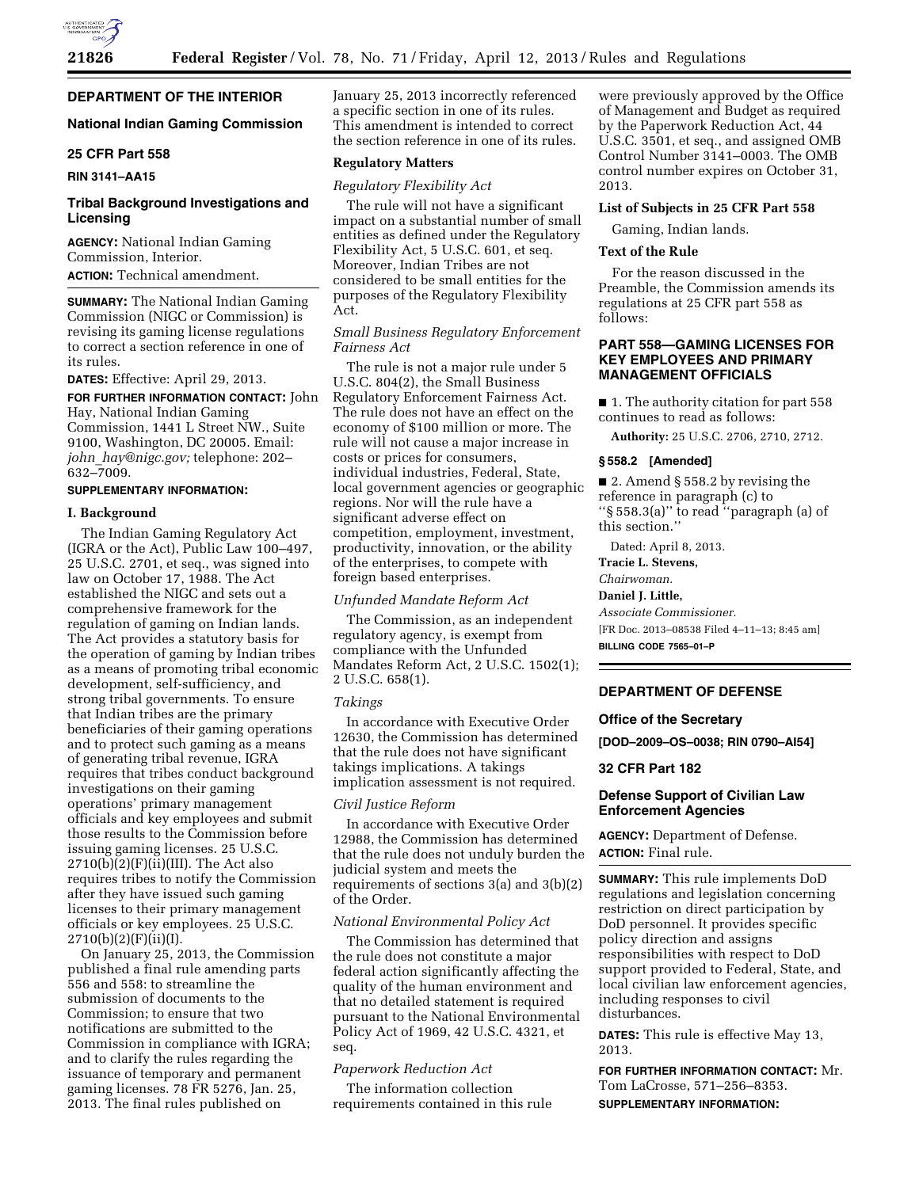# **DEPARTMENT OF THE INTERIOR**

# **National Indian Gaming Commission**

# **25 CFR Part 558**

### **RIN 3141–AA15**

# **Tribal Background Investigations and Licensing**

**AGENCY:** National Indian Gaming Commission, Interior. **ACTION:** Technical amendment.

**SUMMARY:** The National Indian Gaming Commission (NIGC or Commission) is revising its gaming license regulations to correct a section reference in one of its rules.

### **DATES:** Effective: April 29, 2013.

**FOR FURTHER INFORMATION CONTACT:** John Hay, National Indian Gaming Commission, 1441 L Street NW., Suite 9100, Washington, DC 20005. Email: *john*\_*[hay@nigc.gov;](mailto:john_hay@nigc.gov)* telephone: 202– 632–7009.

#### **SUPPLEMENTARY INFORMATION:**

#### **I. Background**

The Indian Gaming Regulatory Act (IGRA or the Act), Public Law 100–497, 25 U.S.C. 2701, et seq., was signed into law on October 17, 1988. The Act established the NIGC and sets out a comprehensive framework for the regulation of gaming on Indian lands. The Act provides a statutory basis for the operation of gaming by Indian tribes as a means of promoting tribal economic development, self-sufficiency, and strong tribal governments. To ensure that Indian tribes are the primary beneficiaries of their gaming operations and to protect such gaming as a means of generating tribal revenue, IGRA requires that tribes conduct background investigations on their gaming operations' primary management officials and key employees and submit those results to the Commission before issuing gaming licenses. 25 U.S.C.  $2710(b)(2)(F)(ii)(III)$ . The Act also requires tribes to notify the Commission after they have issued such gaming licenses to their primary management officials or key employees. 25 U.S.C. 2710(b)(2)(F)(ii)(I).

On January 25, 2013, the Commission published a final rule amending parts 556 and 558: to streamline the submission of documents to the Commission; to ensure that two notifications are submitted to the Commission in compliance with IGRA; and to clarify the rules regarding the issuance of temporary and permanent gaming licenses. 78 FR 5276, Jan. 25, 2013. The final rules published on

January 25, 2013 incorrectly referenced a specific section in one of its rules. This amendment is intended to correct the section reference in one of its rules.

#### **Regulatory Matters**

#### *Regulatory Flexibility Act*

The rule will not have a significant impact on a substantial number of small entities as defined under the Regulatory Flexibility Act, 5 U.S.C. 601, et seq. Moreover, Indian Tribes are not considered to be small entities for the purposes of the Regulatory Flexibility Act.

### *Small Business Regulatory Enforcement Fairness Act*

The rule is not a major rule under 5 U.S.C. 804(2), the Small Business Regulatory Enforcement Fairness Act. The rule does not have an effect on the economy of \$100 million or more. The rule will not cause a major increase in costs or prices for consumers, individual industries, Federal, State, local government agencies or geographic regions. Nor will the rule have a significant adverse effect on competition, employment, investment, productivity, innovation, or the ability of the enterprises, to compete with foreign based enterprises.

#### *Unfunded Mandate Reform Act*

The Commission, as an independent regulatory agency, is exempt from compliance with the Unfunded Mandates Reform Act, 2 U.S.C. 1502(1); 2 U.S.C. 658(1).

#### *Takings*

In accordance with Executive Order 12630, the Commission has determined that the rule does not have significant takings implications. A takings implication assessment is not required.

### *Civil Justice Reform*

In accordance with Executive Order 12988, the Commission has determined that the rule does not unduly burden the judicial system and meets the requirements of sections 3(a) and 3(b)(2) of the Order.

#### *National Environmental Policy Act*

The Commission has determined that the rule does not constitute a major federal action significantly affecting the quality of the human environment and that no detailed statement is required pursuant to the National Environmental Policy Act of 1969, 42 U.S.C. 4321, et seq.

# *Paperwork Reduction Act*

The information collection requirements contained in this rule

were previously approved by the Office of Management and Budget as required by the Paperwork Reduction Act, 44 U.S.C. 3501, et seq., and assigned OMB Control Number 3141–0003. The OMB control number expires on October 31, 2013.

### **List of Subjects in 25 CFR Part 558**

Gaming, Indian lands.

#### **Text of the Rule**

For the reason discussed in the Preamble, the Commission amends its regulations at 25 CFR part 558 as follows:

### **PART 558—GAMING LICENSES FOR KEY EMPLOYEES AND PRIMARY MANAGEMENT OFFICIALS**

■ 1. The authority citation for part 558 continues to read as follows:

**Authority:** 25 U.S.C. 2706, 2710, 2712.

#### **§ 558.2 [Amended]**

■ 2. Amend § 558.2 by revising the reference in paragraph (c) to ''§ 558.3(a)'' to read ''paragraph (a) of this section.''

Dated: April 8, 2013.

**Tracie L. Stevens,** 

# *Chairwoman.*

**Daniel J. Little,** 

*Associate Commissioner.*  [FR Doc. 2013–08538 Filed 4–11–13; 8:45 am] **BILLING CODE 7565–01–P** 

# **DEPARTMENT OF DEFENSE**

### **Office of the Secretary**

**[DOD–2009–OS–0038; RIN 0790–AI54]** 

#### **32 CFR Part 182**

### **Defense Support of Civilian Law Enforcement Agencies**

**AGENCY:** Department of Defense. **ACTION:** Final rule.

**SUMMARY:** This rule implements DoD regulations and legislation concerning restriction on direct participation by DoD personnel. It provides specific policy direction and assigns responsibilities with respect to DoD support provided to Federal, State, and local civilian law enforcement agencies, including responses to civil disturbances.

**DATES:** This rule is effective May 13, 2013.

**FOR FURTHER INFORMATION CONTACT:** Mr. Tom LaCrosse, 571–256–8353. **SUPPLEMENTARY INFORMATION:**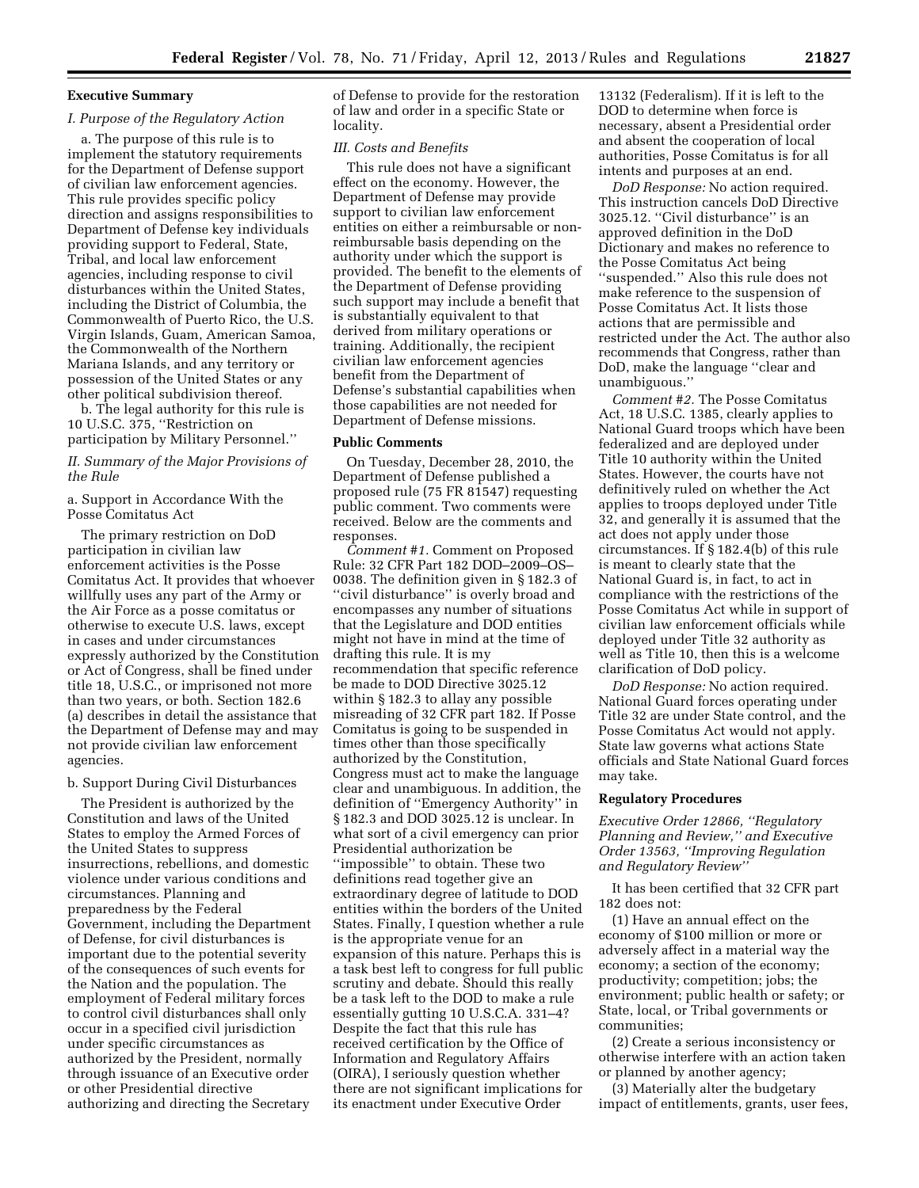### **Executive Summary**

#### *I. Purpose of the Regulatory Action*

a. The purpose of this rule is to implement the statutory requirements for the Department of Defense support of civilian law enforcement agencies. This rule provides specific policy direction and assigns responsibilities to Department of Defense key individuals providing support to Federal, State, Tribal, and local law enforcement agencies, including response to civil disturbances within the United States, including the District of Columbia, the Commonwealth of Puerto Rico, the U.S. Virgin Islands, Guam, American Samoa, the Commonwealth of the Northern Mariana Islands, and any territory or possession of the United States or any other political subdivision thereof.

b. The legal authority for this rule is 10 U.S.C. 375, ''Restriction on participation by Military Personnel.''

*II. Summary of the Major Provisions of the Rule* 

a. Support in Accordance With the Posse Comitatus Act

The primary restriction on DoD participation in civilian law enforcement activities is the Posse Comitatus Act. It provides that whoever willfully uses any part of the Army or the Air Force as a posse comitatus or otherwise to execute U.S. laws, except in cases and under circumstances expressly authorized by the Constitution or Act of Congress, shall be fined under title 18, U.S.C., or imprisoned not more than two years, or both. Section 182.6 (a) describes in detail the assistance that the Department of Defense may and may not provide civilian law enforcement agencies.

#### b. Support During Civil Disturbances

The President is authorized by the Constitution and laws of the United States to employ the Armed Forces of the United States to suppress insurrections, rebellions, and domestic violence under various conditions and circumstances. Planning and preparedness by the Federal Government, including the Department of Defense, for civil disturbances is important due to the potential severity of the consequences of such events for the Nation and the population. The employment of Federal military forces to control civil disturbances shall only occur in a specified civil jurisdiction under specific circumstances as authorized by the President, normally through issuance of an Executive order or other Presidential directive authorizing and directing the Secretary

of Defense to provide for the restoration of law and order in a specific State or locality.

### *III. Costs and Benefits*

This rule does not have a significant effect on the economy. However, the Department of Defense may provide support to civilian law enforcement entities on either a reimbursable or nonreimbursable basis depending on the authority under which the support is provided. The benefit to the elements of the Department of Defense providing such support may include a benefit that is substantially equivalent to that derived from military operations or training. Additionally, the recipient civilian law enforcement agencies benefit from the Department of Defense's substantial capabilities when those capabilities are not needed for Department of Defense missions.

#### **Public Comments**

On Tuesday, December 28, 2010, the Department of Defense published a proposed rule (75 FR 81547) requesting public comment. Two comments were received. Below are the comments and responses.

*Comment #1.* Comment on Proposed Rule: 32 CFR Part 182 DOD–2009–OS– 0038. The definition given in § 182.3 of "civil disturbance" is overly broad and encompasses any number of situations that the Legislature and DOD entities might not have in mind at the time of drafting this rule. It is my recommendation that specific reference be made to DOD Directive 3025.12 within § 182.3 to allay any possible misreading of 32 CFR part 182. If Posse Comitatus is going to be suspended in times other than those specifically authorized by the Constitution, Congress must act to make the language clear and unambiguous. In addition, the definition of ''Emergency Authority'' in § 182.3 and DOD 3025.12 is unclear. In what sort of a civil emergency can prior Presidential authorization be ''impossible'' to obtain. These two definitions read together give an extraordinary degree of latitude to DOD entities within the borders of the United States. Finally, I question whether a rule is the appropriate venue for an expansion of this nature. Perhaps this is a task best left to congress for full public scrutiny and debate. Should this really be a task left to the DOD to make a rule essentially gutting 10 U.S.C.A. 331–4? Despite the fact that this rule has received certification by the Office of Information and Regulatory Affairs (OIRA), I seriously question whether there are not significant implications for its enactment under Executive Order

13132 (Federalism). If it is left to the DOD to determine when force is necessary, absent a Presidential order and absent the cooperation of local authorities, Posse Comitatus is for all intents and purposes at an end.

*DoD Response:* No action required. This instruction cancels DoD Directive 3025.12. ''Civil disturbance'' is an approved definition in the DoD Dictionary and makes no reference to the Posse Comitatus Act being ''suspended.'' Also this rule does not make reference to the suspension of Posse Comitatus Act. It lists those actions that are permissible and restricted under the Act. The author also recommends that Congress, rather than DoD, make the language ''clear and unambiguous.''

*Comment #2.* The Posse Comitatus Act, 18 U.S.C. 1385, clearly applies to National Guard troops which have been federalized and are deployed under Title 10 authority within the United States. However, the courts have not definitively ruled on whether the Act applies to troops deployed under Title 32, and generally it is assumed that the act does not apply under those circumstances. If § 182.4(b) of this rule is meant to clearly state that the National Guard is, in fact, to act in compliance with the restrictions of the Posse Comitatus Act while in support of civilian law enforcement officials while deployed under Title 32 authority as well as Title 10, then this is a welcome clarification of DoD policy.

*DoD Response:* No action required. National Guard forces operating under Title 32 are under State control, and the Posse Comitatus Act would not apply. State law governs what actions State officials and State National Guard forces may take.

#### **Regulatory Procedures**

*Executive Order 12866, ''Regulatory Planning and Review,'' and Executive Order 13563, ''Improving Regulation and Regulatory Review''* 

It has been certified that 32 CFR part 182 does not:

(1) Have an annual effect on the economy of \$100 million or more or adversely affect in a material way the economy; a section of the economy; productivity; competition; jobs; the environment; public health or safety; or State, local, or Tribal governments or communities;

(2) Create a serious inconsistency or otherwise interfere with an action taken or planned by another agency;

(3) Materially alter the budgetary impact of entitlements, grants, user fees,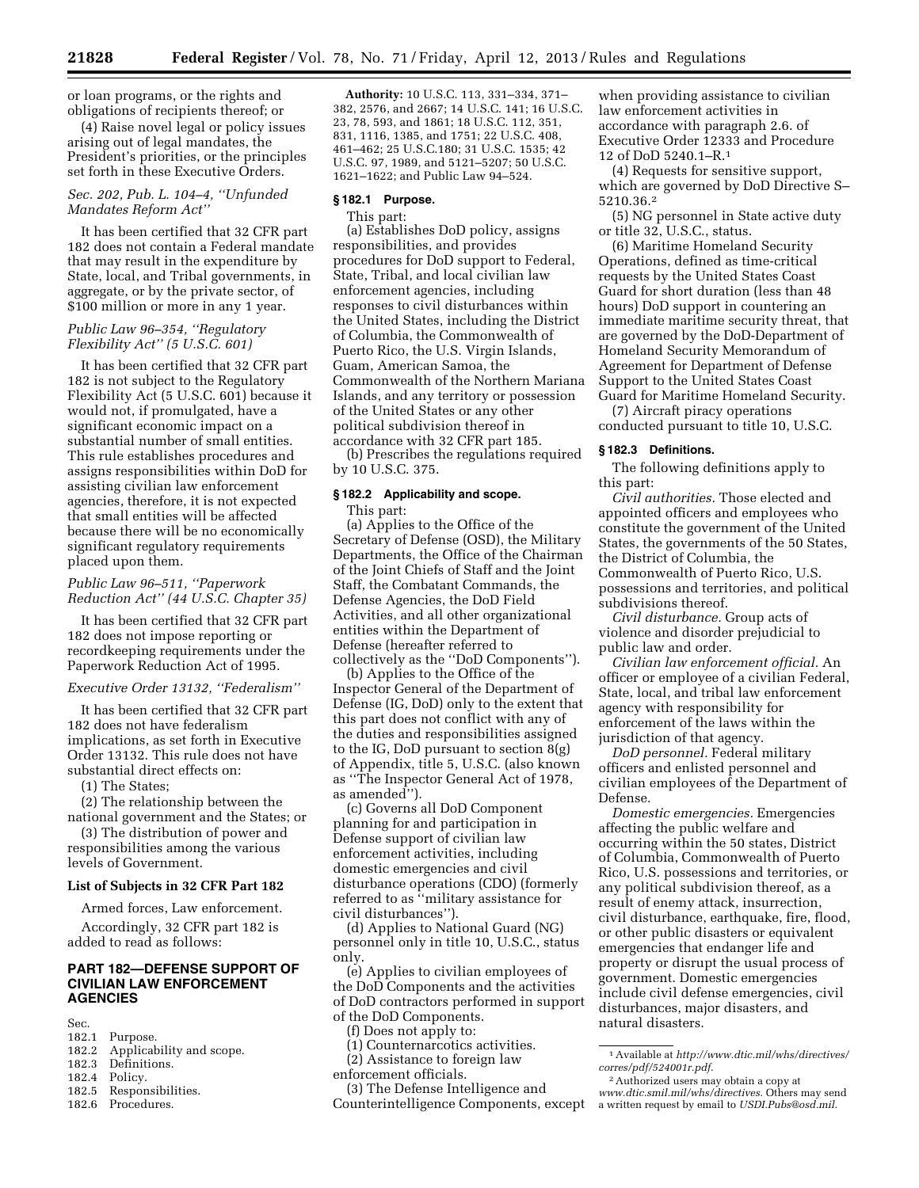or loan programs, or the rights and obligations of recipients thereof; or

(4) Raise novel legal or policy issues arising out of legal mandates, the President's priorities, or the principles set forth in these Executive Orders.

### *Sec. 202, Pub. L. 104–4, ''Unfunded Mandates Reform Act''*

It has been certified that 32 CFR part 182 does not contain a Federal mandate that may result in the expenditure by State, local, and Tribal governments, in aggregate, or by the private sector, of \$100 million or more in any 1 year.

# *Public Law 96–354, ''Regulatory Flexibility Act'' (5 U.S.C. 601)*

It has been certified that 32 CFR part 182 is not subject to the Regulatory Flexibility Act (5 U.S.C. 601) because it would not, if promulgated, have a significant economic impact on a substantial number of small entities. This rule establishes procedures and assigns responsibilities within DoD for assisting civilian law enforcement agencies, therefore, it is not expected that small entities will be affected because there will be no economically significant regulatory requirements placed upon them.

# *Public Law 96–511, ''Paperwork Reduction Act'' (44 U.S.C. Chapter 35)*

It has been certified that 32 CFR part 182 does not impose reporting or recordkeeping requirements under the Paperwork Reduction Act of 1995.

# *Executive Order 13132, ''Federalism''*

It has been certified that 32 CFR part 182 does not have federalism implications, as set forth in Executive Order 13132. This rule does not have substantial direct effects on:

(1) The States;

(2) The relationship between the national government and the States; or

(3) The distribution of power and responsibilities among the various levels of Government.

#### **List of Subjects in 32 CFR Part 182**

Armed forces, Law enforcement.

Accordingly, 32 CFR part 182 is added to read as follows:

# **PART 182—DEFENSE SUPPORT OF CIVILIAN LAW ENFORCEMENT AGENCIES**

Sec.<br>182.1

- 182.1 Purpose.<br>182.2 Applicab
- 182.2 Applicability and scope.<br>182.3 Definitions.
- 182.3 Definitions.<br>182.4 Policy. Policy.
- 
- 182.5 Responsibilities.<br>182.6 Procedures. Procedures.

**Authority:** 10 U.S.C. 113, 331–334, 371– 382, 2576, and 2667; 14 U.S.C. 141; 16 U.S.C. 23, 78, 593, and 1861; 18 U.S.C. 112, 351, 831, 1116, 1385, and 1751; 22 U.S.C. 408, 461–462; 25 U.S.C.180; 31 U.S.C. 1535; 42 U.S.C. 97, 1989, and 5121–5207; 50 U.S.C. 1621–1622; and Public Law 94–524.

#### **§ 182.1 Purpose.**

This part:

(a) Establishes DoD policy, assigns responsibilities, and provides procedures for DoD support to Federal, State, Tribal, and local civilian law enforcement agencies, including responses to civil disturbances within the United States, including the District of Columbia, the Commonwealth of Puerto Rico, the U.S. Virgin Islands, Guam, American Samoa, the Commonwealth of the Northern Mariana Islands, and any territory or possession of the United States or any other political subdivision thereof in accordance with 32 CFR part 185.

(b) Prescribes the regulations required by 10 U.S.C. 375.

### **§ 182.2 Applicability and scope.**  This part:

(a) Applies to the Office of the Secretary of Defense (OSD), the Military Departments, the Office of the Chairman of the Joint Chiefs of Staff and the Joint Staff, the Combatant Commands, the Defense Agencies, the DoD Field Activities, and all other organizational entities within the Department of Defense (hereafter referred to collectively as the ''DoD Components'').

(b) Applies to the Office of the Inspector General of the Department of Defense (IG, DoD) only to the extent that this part does not conflict with any of the duties and responsibilities assigned to the IG, DoD pursuant to section 8(g) of Appendix, title 5, U.S.C. (also known as ''The Inspector General Act of 1978, as amended'').

(c) Governs all DoD Component planning for and participation in Defense support of civilian law enforcement activities, including domestic emergencies and civil disturbance operations (CDO) (formerly referred to as ''military assistance for civil disturbances'').

(d) Applies to National Guard (NG) personnel only in title 10, U.S.C., status only.

(e) Applies to civilian employees of the DoD Components and the activities of DoD contractors performed in support of the DoD Components.

- (f) Does not apply to:
- (1) Counternarcotics activities.
- (2) Assistance to foreign law
- enforcement officials.

(3) The Defense Intelligence and Counterintelligence Components, except

when providing assistance to civilian law enforcement activities in accordance with paragraph 2.6. of Executive Order 12333 and Procedure 12 of DoD 5240.1–R.1

(4) Requests for sensitive support, which are governed by DoD Directive S– 5210.36.2

(5) NG personnel in State active duty or title 32, U.S.C., status.

(6) Maritime Homeland Security Operations, defined as time-critical requests by the United States Coast Guard for short duration (less than 48 hours) DoD support in countering an immediate maritime security threat, that are governed by the DoD-Department of Homeland Security Memorandum of Agreement for Department of Defense Support to the United States Coast Guard for Maritime Homeland Security.

(7) Aircraft piracy operations conducted pursuant to title 10, U.S.C.

#### **§ 182.3 Definitions.**

The following definitions apply to this part:

*Civil authorities.* Those elected and appointed officers and employees who constitute the government of the United States, the governments of the 50 States, the District of Columbia, the Commonwealth of Puerto Rico, U.S. possessions and territories, and political subdivisions thereof.

*Civil disturbance.* Group acts of violence and disorder prejudicial to public law and order.

*Civilian law enforcement official.* An officer or employee of a civilian Federal, State, local, and tribal law enforcement agency with responsibility for enforcement of the laws within the jurisdiction of that agency.

*DoD personnel.* Federal military officers and enlisted personnel and civilian employees of the Department of Defense.

*Domestic emergencies.* Emergencies affecting the public welfare and occurring within the 50 states, District of Columbia, Commonwealth of Puerto Rico, U.S. possessions and territories, or any political subdivision thereof, as a result of enemy attack, insurrection, civil disturbance, earthquake, fire, flood, or other public disasters or equivalent emergencies that endanger life and property or disrupt the usual process of government. Domestic emergencies include civil defense emergencies, civil disturbances, major disasters, and natural disasters.

<sup>1</sup>Available at *[http://www.dtic.mil/whs/directives/](http://www.dtic.mil/whs/directives/corres/pdf/524001r.pdf)  [corres/pdf/524001r.pdf](http://www.dtic.mil/whs/directives/corres/pdf/524001r.pdf)*.

<sup>2</sup>Authorized users may obtain a copy at *[www.dtic.smil.mil/whs/directives.](http://www.dtic.smil.mil/whs/directives)* Others may send a written request by email to *[USDI.Pubs@osd.mil](mailto:USDI.Pubs@osd.mil)*.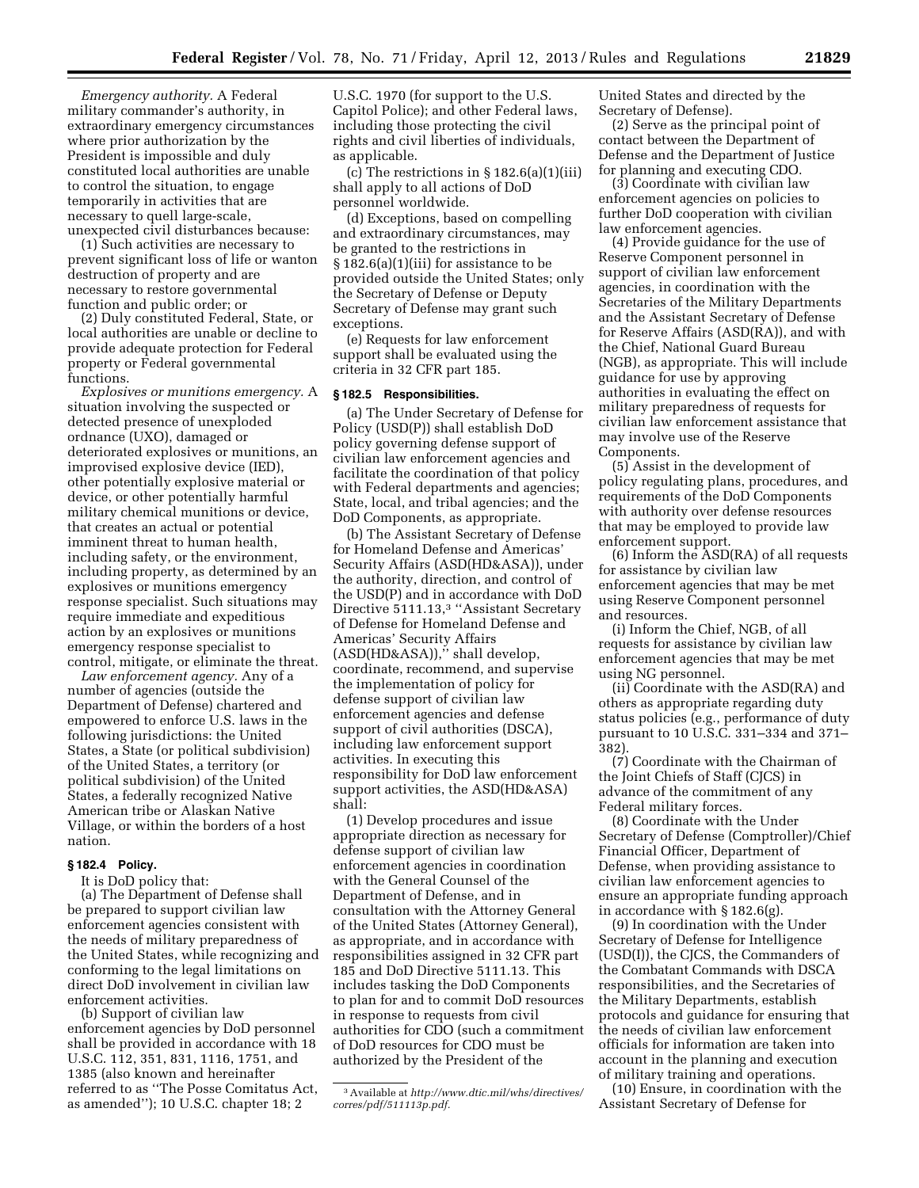*Emergency authority.* A Federal military commander's authority, in extraordinary emergency circumstances where prior authorization by the President is impossible and duly constituted local authorities are unable to control the situation, to engage temporarily in activities that are necessary to quell large-scale, unexpected civil disturbances because:

(1) Such activities are necessary to prevent significant loss of life or wanton destruction of property and are necessary to restore governmental function and public order; or

(2) Duly constituted Federal, State, or local authorities are unable or decline to provide adequate protection for Federal property or Federal governmental functions.

*Explosives or munitions emergency.* A situation involving the suspected or detected presence of unexploded ordnance (UXO), damaged or deteriorated explosives or munitions, an improvised explosive device (IED), other potentially explosive material or device, or other potentially harmful military chemical munitions or device, that creates an actual or potential imminent threat to human health, including safety, or the environment, including property, as determined by an explosives or munitions emergency response specialist. Such situations may require immediate and expeditious action by an explosives or munitions emergency response specialist to control, mitigate, or eliminate the threat.

*Law enforcement agency.* Any of a number of agencies (outside the Department of Defense) chartered and empowered to enforce U.S. laws in the following jurisdictions: the United States, a State (or political subdivision) of the United States, a territory (or political subdivision) of the United States, a federally recognized Native American tribe or Alaskan Native Village, or within the borders of a host nation.

### **§ 182.4 Policy.**

It is DoD policy that:

(a) The Department of Defense shall be prepared to support civilian law enforcement agencies consistent with the needs of military preparedness of the United States, while recognizing and conforming to the legal limitations on direct DoD involvement in civilian law enforcement activities.

(b) Support of civilian law enforcement agencies by DoD personnel shall be provided in accordance with 18 U.S.C. 112, 351, 831, 1116, 1751, and 1385 (also known and hereinafter referred to as ''The Posse Comitatus Act, as amended''); 10 U.S.C. chapter 18; 2

U.S.C. 1970 (for support to the U.S. Capitol Police); and other Federal laws, including those protecting the civil rights and civil liberties of individuals, as applicable.

(c) The restrictions in  $\S 182.6(a)(1)(iii)$ shall apply to all actions of DoD personnel worldwide.

(d) Exceptions, based on compelling and extraordinary circumstances, may be granted to the restrictions in § 182.6(a)(1)(iii) for assistance to be provided outside the United States; only the Secretary of Defense or Deputy Secretary of Defense may grant such exceptions.

(e) Requests for law enforcement support shall be evaluated using the criteria in 32 CFR part 185.

#### **§ 182.5 Responsibilities.**

(a) The Under Secretary of Defense for Policy (USD(P)) shall establish DoD policy governing defense support of civilian law enforcement agencies and facilitate the coordination of that policy with Federal departments and agencies; State, local, and tribal agencies; and the DoD Components, as appropriate.

(b) The Assistant Secretary of Defense for Homeland Defense and Americas' Security Affairs (ASD(HD&ASA)), under the authority, direction, and control of the USD(P) and in accordance with DoD Directive 5111.13,<sup>3</sup> "Assistant Secretary of Defense for Homeland Defense and Americas' Security Affairs (ASD(HD&ASA)),'' shall develop, coordinate, recommend, and supervise the implementation of policy for defense support of civilian law enforcement agencies and defense support of civil authorities (DSCA), including law enforcement support activities. In executing this responsibility for DoD law enforcement support activities, the ASD(HD&ASA) shall:

(1) Develop procedures and issue appropriate direction as necessary for defense support of civilian law enforcement agencies in coordination with the General Counsel of the Department of Defense, and in consultation with the Attorney General of the United States (Attorney General), as appropriate, and in accordance with responsibilities assigned in 32 CFR part 185 and DoD Directive 5111.13. This includes tasking the DoD Components to plan for and to commit DoD resources in response to requests from civil authorities for CDO (such a commitment of DoD resources for CDO must be authorized by the President of the

United States and directed by the Secretary of Defense).

(2) Serve as the principal point of contact between the Department of Defense and the Department of Justice for planning and executing CDO.

(3) Coordinate with civilian law enforcement agencies on policies to further DoD cooperation with civilian law enforcement agencies.

(4) Provide guidance for the use of Reserve Component personnel in support of civilian law enforcement agencies, in coordination with the Secretaries of the Military Departments and the Assistant Secretary of Defense for Reserve Affairs (ASD(RA)), and with the Chief, National Guard Bureau (NGB), as appropriate. This will include guidance for use by approving authorities in evaluating the effect on military preparedness of requests for civilian law enforcement assistance that may involve use of the Reserve Components.

(5) Assist in the development of policy regulating plans, procedures, and requirements of the DoD Components with authority over defense resources that may be employed to provide law enforcement support.

(6) Inform the ASD(RA) of all requests for assistance by civilian law enforcement agencies that may be met using Reserve Component personnel and resources.

(i) Inform the Chief, NGB, of all requests for assistance by civilian law enforcement agencies that may be met using NG personnel.

(ii) Coordinate with the ASD(RA) and others as appropriate regarding duty status policies (e.g., performance of duty pursuant to 10 U.S.C. 331–334 and 371– 382).

(7) Coordinate with the Chairman of the Joint Chiefs of Staff (CJCS) in advance of the commitment of any Federal military forces.

(8) Coordinate with the Under Secretary of Defense (Comptroller)/Chief Financial Officer, Department of Defense, when providing assistance to civilian law enforcement agencies to ensure an appropriate funding approach in accordance with § 182.6(g).

(9) In coordination with the Under Secretary of Defense for Intelligence (USD(I)), the CJCS, the Commanders of the Combatant Commands with DSCA responsibilities, and the Secretaries of the Military Departments, establish protocols and guidance for ensuring that the needs of civilian law enforcement officials for information are taken into account in the planning and execution of military training and operations.

(10) Ensure, in coordination with the Assistant Secretary of Defense for

<sup>3</sup>Available at *[http://www.dtic.mil/whs/directives/](http://www.dtic.mil/whs/directives/corres/pdf/511113p.pdf)  [corres/pdf/511113p.pdf](http://www.dtic.mil/whs/directives/corres/pdf/511113p.pdf).*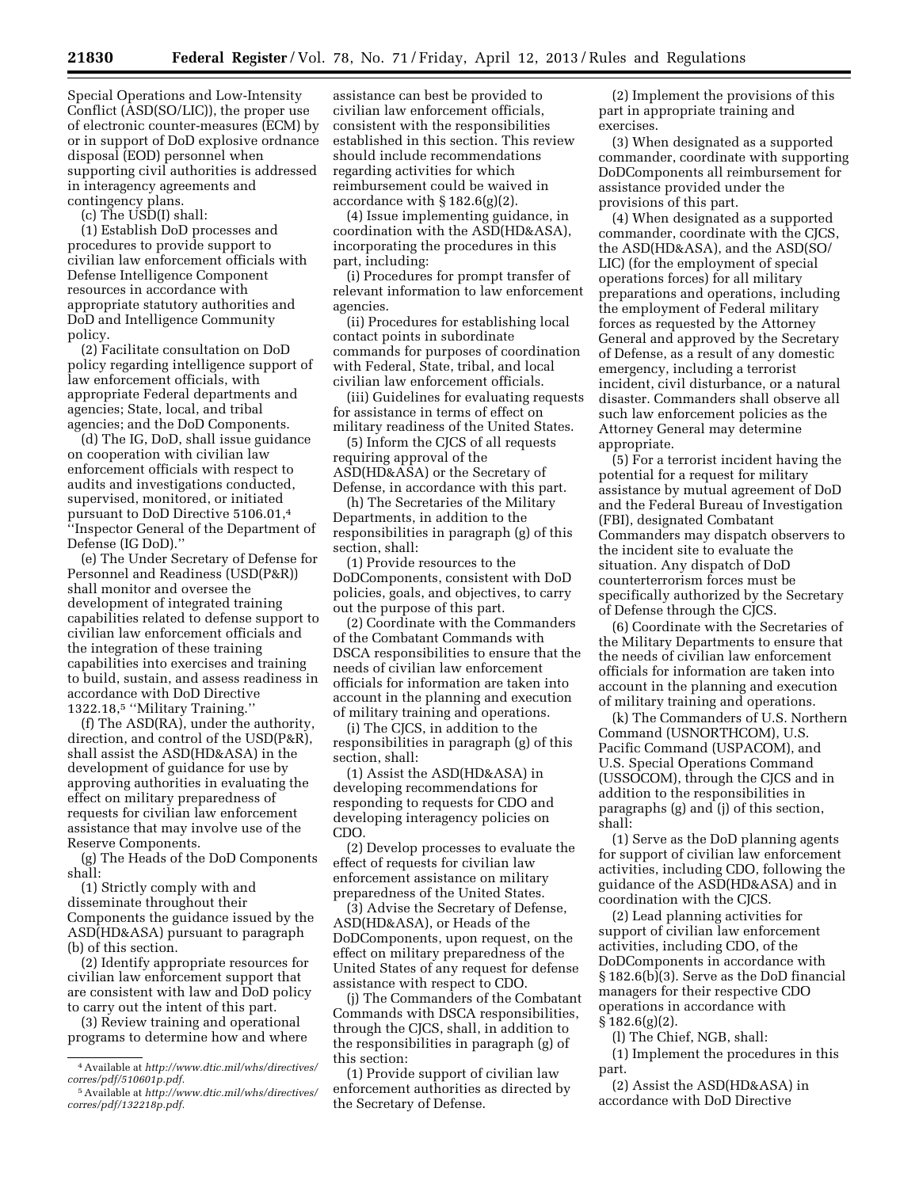Special Operations and Low-Intensity Conflict (ASD(SO/LIC)), the proper use of electronic counter-measures (ECM) by or in support of DoD explosive ordnance disposal (EOD) personnel when supporting civil authorities is addressed in interagency agreements and contingency plans.

(c) The USD(I) shall:

(1) Establish DoD processes and procedures to provide support to civilian law enforcement officials with Defense Intelligence Component resources in accordance with appropriate statutory authorities and DoD and Intelligence Community policy.

(2) Facilitate consultation on DoD policy regarding intelligence support of law enforcement officials, with appropriate Federal departments and agencies; State, local, and tribal agencies; and the DoD Components.

(d) The IG, DoD, shall issue guidance on cooperation with civilian law enforcement officials with respect to audits and investigations conducted, supervised, monitored, or initiated pursuant to DoD Directive 5106.01,4 ''Inspector General of the Department of Defense (IG DoD).''

(e) The Under Secretary of Defense for Personnel and Readiness (USD(P&R)) shall monitor and oversee the development of integrated training capabilities related to defense support to civilian law enforcement officials and the integration of these training capabilities into exercises and training to build, sustain, and assess readiness in accordance with DoD Directive 1322.18,5 ''Military Training.''

(f) The ASD(RA), under the authority, direction, and control of the USD(P&R), shall assist the ASD(HD&ASA) in the development of guidance for use by approving authorities in evaluating the effect on military preparedness of requests for civilian law enforcement assistance that may involve use of the Reserve Components.

(g) The Heads of the DoD Components shall:

(1) Strictly comply with and disseminate throughout their Components the guidance issued by the ASD(HD&ASA) pursuant to paragraph (b) of this section.

(2) Identify appropriate resources for civilian law enforcement support that are consistent with law and DoD policy to carry out the intent of this part.

(3) Review training and operational programs to determine how and where

assistance can best be provided to civilian law enforcement officials, consistent with the responsibilities established in this section. This review should include recommendations regarding activities for which reimbursement could be waived in accordance with  $\S 182.6(g)(2)$ .

(4) Issue implementing guidance, in coordination with the ASD(HD&ASA), incorporating the procedures in this part, including:

(i) Procedures for prompt transfer of relevant information to law enforcement agencies.

(ii) Procedures for establishing local contact points in subordinate commands for purposes of coordination with Federal, State, tribal, and local civilian law enforcement officials.

(iii) Guidelines for evaluating requests for assistance in terms of effect on military readiness of the United States.

(5) Inform the CJCS of all requests requiring approval of the ASD(HD&ASA) or the Secretary of Defense, in accordance with this part.

(h) The Secretaries of the Military Departments, in addition to the responsibilities in paragraph (g) of this section, shall:

(1) Provide resources to the DoDComponents, consistent with DoD policies, goals, and objectives, to carry out the purpose of this part.

(2) Coordinate with the Commanders of the Combatant Commands with DSCA responsibilities to ensure that the needs of civilian law enforcement officials for information are taken into account in the planning and execution of military training and operations.

(i) The CJCS, in addition to the responsibilities in paragraph (g) of this section, shall:

(1) Assist the ASD(HD&ASA) in developing recommendations for responding to requests for CDO and developing interagency policies on CDO.

(2) Develop processes to evaluate the effect of requests for civilian law enforcement assistance on military preparedness of the United States.

(3) Advise the Secretary of Defense, ASD(HD&ASA), or Heads of the DoDComponents, upon request, on the effect on military preparedness of the United States of any request for defense assistance with respect to CDO.

(j) The Commanders of the Combatant Commands with DSCA responsibilities, through the CJCS, shall, in addition to the responsibilities in paragraph (g) of this section:

(1) Provide support of civilian law enforcement authorities as directed by the Secretary of Defense.

(2) Implement the provisions of this part in appropriate training and exercises.

(3) When designated as a supported commander, coordinate with supporting DoDComponents all reimbursement for assistance provided under the provisions of this part.

(4) When designated as a supported commander, coordinate with the CJCS, the ASD(HD&ASA), and the ASD(SO/ LIC) (for the employment of special operations forces) for all military preparations and operations, including the employment of Federal military forces as requested by the Attorney General and approved by the Secretary of Defense, as a result of any domestic emergency, including a terrorist incident, civil disturbance, or a natural disaster. Commanders shall observe all such law enforcement policies as the Attorney General may determine appropriate.

(5) For a terrorist incident having the potential for a request for military assistance by mutual agreement of DoD and the Federal Bureau of Investigation (FBI), designated Combatant Commanders may dispatch observers to the incident site to evaluate the situation. Any dispatch of DoD counterterrorism forces must be specifically authorized by the Secretary of Defense through the CJCS.

(6) Coordinate with the Secretaries of the Military Departments to ensure that the needs of civilian law enforcement officials for information are taken into account in the planning and execution of military training and operations.

(k) The Commanders of U.S. Northern Command (USNORTHCOM), U.S. Pacific Command (USPACOM), and U.S. Special Operations Command (USSOCOM), through the CJCS and in addition to the responsibilities in paragraphs (g) and (j) of this section, shall:

(1) Serve as the DoD planning agents for support of civilian law enforcement activities, including CDO, following the guidance of the ASD(HD&ASA) and in coordination with the CJCS.

(2) Lead planning activities for support of civilian law enforcement activities, including CDO, of the DoDComponents in accordance with § 182.6(b)(3). Serve as the DoD financial managers for their respective CDO operations in accordance with § 182.6(g)(2).

(l) The Chief, NGB, shall:

(1) Implement the procedures in this part.

(2) Assist the ASD(HD&ASA) in accordance with DoD Directive

<sup>4</sup>Available at *[http://www.dtic.mil/whs/directives/](http://www.dtic.mil/whs/directives/corres/pdf/510601p.pdf)  [corres/pdf/510601p.pdf.](http://www.dtic.mil/whs/directives/corres/pdf/510601p.pdf)* 

<sup>5</sup>Available at *[http://www.dtic.mil/whs/directives/](http://www.dtic.mil/whs/directives/corres/pdf/132218p.pdf)  [corres/pdf/132218p.pdf.](http://www.dtic.mil/whs/directives/corres/pdf/132218p.pdf)*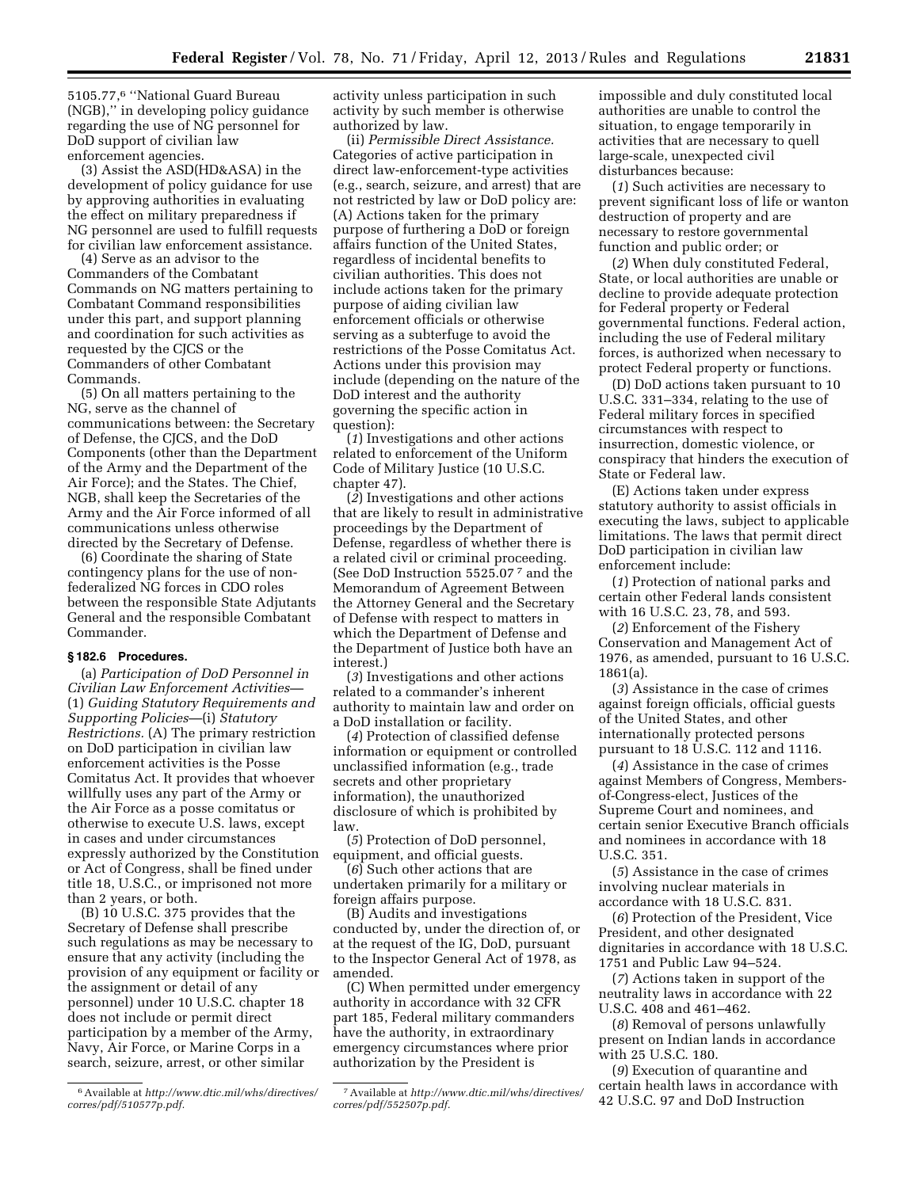5105.77,6 ''National Guard Bureau (NGB),'' in developing policy guidance regarding the use of NG personnel for DoD support of civilian law enforcement agencies.

(3) Assist the ASD(HD&ASA) in the development of policy guidance for use by approving authorities in evaluating the effect on military preparedness if NG personnel are used to fulfill requests for civilian law enforcement assistance.

(4) Serve as an advisor to the Commanders of the Combatant Commands on NG matters pertaining to Combatant Command responsibilities under this part, and support planning and coordination for such activities as requested by the CJCS or the Commanders of other Combatant Commands.

(5) On all matters pertaining to the NG, serve as the channel of communications between: the Secretary of Defense, the CJCS, and the DoD Components (other than the Department of the Army and the Department of the Air Force); and the States. The Chief, NGB, shall keep the Secretaries of the Army and the Air Force informed of all communications unless otherwise directed by the Secretary of Defense.

(6) Coordinate the sharing of State contingency plans for the use of nonfederalized NG forces in CDO roles between the responsible State Adjutants General and the responsible Combatant Commander.

#### **§ 182.6 Procedures.**

(a) *Participation of DoD Personnel in Civilian Law Enforcement Activities—*  (1) *Guiding Statutory Requirements and Supporting Policies*—(i) *Statutory Restrictions.* (A) The primary restriction on DoD participation in civilian law enforcement activities is the Posse Comitatus Act. It provides that whoever willfully uses any part of the Army or the Air Force as a posse comitatus or otherwise to execute U.S. laws, except in cases and under circumstances expressly authorized by the Constitution or Act of Congress, shall be fined under title 18, U.S.C., or imprisoned not more than 2 years, or both.

(B) 10 U.S.C. 375 provides that the Secretary of Defense shall prescribe such regulations as may be necessary to ensure that any activity (including the provision of any equipment or facility or the assignment or detail of any personnel) under 10 U.S.C. chapter 18 does not include or permit direct participation by a member of the Army, Navy, Air Force, or Marine Corps in a search, seizure, arrest, or other similar

6Available at *[http://www.dtic.mil/whs/directives/](http://www.dtic.mil/whs/directives/corres/pdf/510577p.pdf)  [corres/pdf/510577p.pdf.](http://www.dtic.mil/whs/directives/corres/pdf/510577p.pdf)* 

activity unless participation in such activity by such member is otherwise authorized by law.

(ii) *Permissible Direct Assistance.*  Categories of active participation in direct law-enforcement-type activities (e.g., search, seizure, and arrest) that are not restricted by law or DoD policy are: (A) Actions taken for the primary purpose of furthering a DoD or foreign affairs function of the United States, regardless of incidental benefits to civilian authorities. This does not include actions taken for the primary purpose of aiding civilian law enforcement officials or otherwise serving as a subterfuge to avoid the restrictions of the Posse Comitatus Act. Actions under this provision may include (depending on the nature of the DoD interest and the authority governing the specific action in question):

(*1*) Investigations and other actions related to enforcement of the Uniform Code of Military Justice (10 U.S.C. chapter 47).

(*2*) Investigations and other actions that are likely to result in administrative proceedings by the Department of Defense, regardless of whether there is a related civil or criminal proceeding. (See DoD Instruction 5525.07 7 and the Memorandum of Agreement Between the Attorney General and the Secretary of Defense with respect to matters in which the Department of Defense and the Department of Justice both have an interest.)

(*3*) Investigations and other actions related to a commander's inherent authority to maintain law and order on a DoD installation or facility.

(*4*) Protection of classified defense information or equipment or controlled unclassified information (e.g., trade secrets and other proprietary information), the unauthorized disclosure of which is prohibited by law.

(*5*) Protection of DoD personnel, equipment, and official guests.

(*6*) Such other actions that are undertaken primarily for a military or foreign affairs purpose.

(B) Audits and investigations conducted by, under the direction of, or at the request of the IG, DoD, pursuant to the Inspector General Act of 1978, as amended.

(C) When permitted under emergency authority in accordance with 32 CFR part 185, Federal military commanders have the authority, in extraordinary emergency circumstances where prior authorization by the President is

impossible and duly constituted local authorities are unable to control the situation, to engage temporarily in activities that are necessary to quell large-scale, unexpected civil disturbances because:

(*1*) Such activities are necessary to prevent significant loss of life or wanton destruction of property and are necessary to restore governmental function and public order; or

(*2*) When duly constituted Federal, State, or local authorities are unable or decline to provide adequate protection for Federal property or Federal governmental functions. Federal action, including the use of Federal military forces, is authorized when necessary to protect Federal property or functions.

(D) DoD actions taken pursuant to 10 U.S.C. 331–334, relating to the use of Federal military forces in specified circumstances with respect to insurrection, domestic violence, or conspiracy that hinders the execution of State or Federal law.

(E) Actions taken under express statutory authority to assist officials in executing the laws, subject to applicable limitations. The laws that permit direct DoD participation in civilian law enforcement include:

(*1*) Protection of national parks and certain other Federal lands consistent with 16 U.S.C. 23, 78, and 593.

(*2*) Enforcement of the Fishery Conservation and Management Act of 1976, as amended, pursuant to 16 U.S.C. 1861(a).

(*3*) Assistance in the case of crimes against foreign officials, official guests of the United States, and other internationally protected persons pursuant to 18 U.S.C. 112 and 1116.

(*4*) Assistance in the case of crimes against Members of Congress, Membersof-Congress-elect, Justices of the Supreme Court and nominees, and certain senior Executive Branch officials and nominees in accordance with 18 U.S.C. 351.

(*5*) Assistance in the case of crimes involving nuclear materials in accordance with 18 U.S.C. 831.

(*6*) Protection of the President, Vice President, and other designated dignitaries in accordance with 18 U.S.C. 1751 and Public Law 94–524.

(*7*) Actions taken in support of the neutrality laws in accordance with 22 U.S.C. 408 and 461–462.

(*8*) Removal of persons unlawfully present on Indian lands in accordance with 25 U.S.C. 180.

(*9*) Execution of quarantine and certain health laws in accordance with 42 U.S.C. 97 and DoD Instruction

<sup>7</sup>Available at *[http://www.dtic.mil/whs/directives/](http://www.dtic.mil/whs/directives/corres/pdf/552507p.pdf)  [corres/pdf/552507p.pdf.](http://www.dtic.mil/whs/directives/corres/pdf/552507p.pdf)*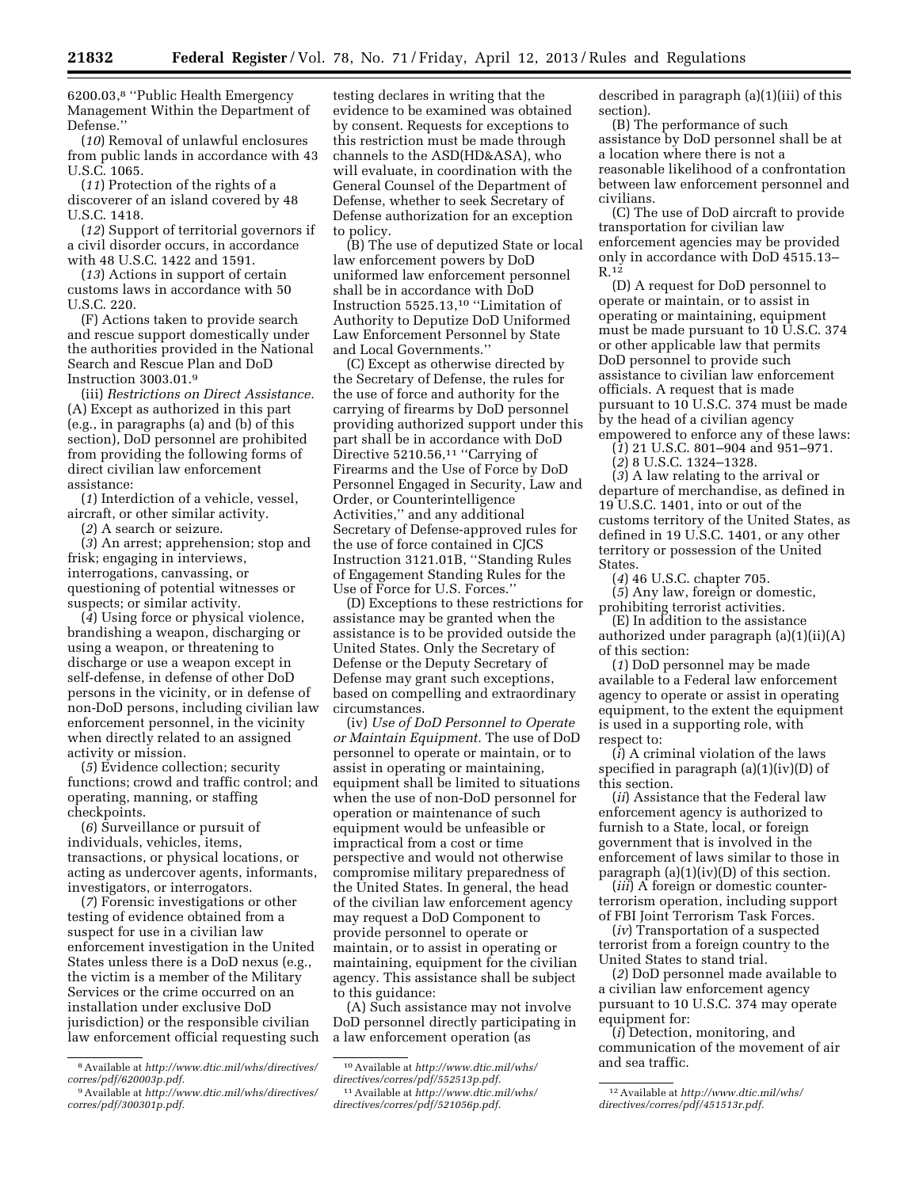6200.03,8 ''Public Health Emergency Management Within the Department of Defense.''

(*10*) Removal of unlawful enclosures from public lands in accordance with 43 U.S.C. 1065.

(*11*) Protection of the rights of a discoverer of an island covered by 48 U.S.C. 1418.

(*12*) Support of territorial governors if a civil disorder occurs, in accordance with 48 U.S.C. 1422 and 1591.

(*13*) Actions in support of certain customs laws in accordance with 50 U.S.C. 220.

(F) Actions taken to provide search and rescue support domestically under the authorities provided in the National Search and Rescue Plan and DoD Instruction 3003.01.9

(iii) *Restrictions on Direct Assistance.*  (A) Except as authorized in this part (e.g., in paragraphs (a) and (b) of this section), DoD personnel are prohibited from providing the following forms of direct civilian law enforcement assistance:

(*1*) Interdiction of a vehicle, vessel, aircraft, or other similar activity.

(*2*) A search or seizure.

(*3*) An arrest; apprehension; stop and frisk; engaging in interviews, interrogations, canvassing, or questioning of potential witnesses or suspects; or similar activity.

(*4*) Using force or physical violence, brandishing a weapon, discharging or using a weapon, or threatening to discharge or use a weapon except in self-defense, in defense of other DoD persons in the vicinity, or in defense of non-DoD persons, including civilian law enforcement personnel, in the vicinity when directly related to an assigned activity or mission.

(*5*) Evidence collection; security functions; crowd and traffic control; and operating, manning, or staffing checkpoints.

(*6*) Surveillance or pursuit of individuals, vehicles, items, transactions, or physical locations, or acting as undercover agents, informants, investigators, or interrogators.

(*7*) Forensic investigations or other testing of evidence obtained from a suspect for use in a civilian law enforcement investigation in the United States unless there is a DoD nexus (e.g., the victim is a member of the Military Services or the crime occurred on an installation under exclusive DoD jurisdiction) or the responsible civilian law enforcement official requesting such

testing declares in writing that the evidence to be examined was obtained by consent. Requests for exceptions to this restriction must be made through channels to the ASD(HD&ASA), who will evaluate, in coordination with the General Counsel of the Department of Defense, whether to seek Secretary of Defense authorization for an exception to policy.

(B) The use of deputized State or local law enforcement powers by DoD uniformed law enforcement personnel shall be in accordance with DoD Instruction 5525.13,10 ''Limitation of Authority to Deputize DoD Uniformed Law Enforcement Personnel by State and Local Governments.''

(C) Except as otherwise directed by the Secretary of Defense, the rules for the use of force and authority for the carrying of firearms by DoD personnel providing authorized support under this part shall be in accordance with DoD Directive 5210.56,<sup>11</sup> "Carrying of Firearms and the Use of Force by DoD Personnel Engaged in Security, Law and Order, or Counterintelligence Activities,'' and any additional Secretary of Defense-approved rules for the use of force contained in CJCS Instruction 3121.01B, ''Standing Rules of Engagement Standing Rules for the Use of Force for U.S. Forces.''

(D) Exceptions to these restrictions for assistance may be granted when the assistance is to be provided outside the United States. Only the Secretary of Defense or the Deputy Secretary of Defense may grant such exceptions, based on compelling and extraordinary circumstances.

(iv) *Use of DoD Personnel to Operate or Maintain Equipment.* The use of DoD personnel to operate or maintain, or to assist in operating or maintaining, equipment shall be limited to situations when the use of non-DoD personnel for operation or maintenance of such equipment would be unfeasible or impractical from a cost or time perspective and would not otherwise compromise military preparedness of the United States. In general, the head of the civilian law enforcement agency may request a DoD Component to provide personnel to operate or maintain, or to assist in operating or maintaining, equipment for the civilian agency. This assistance shall be subject to this guidance:

(A) Such assistance may not involve DoD personnel directly participating in a law enforcement operation (as

described in paragraph (a)(1)(iii) of this section).

(B) The performance of such assistance by DoD personnel shall be at a location where there is not a reasonable likelihood of a confrontation between law enforcement personnel and civilians.

(C) The use of DoD aircraft to provide transportation for civilian law enforcement agencies may be provided only in accordance with DoD 4515.13– R.12

(D) A request for DoD personnel to operate or maintain, or to assist in operating or maintaining, equipment must be made pursuant to 10 U.S.C. 374 or other applicable law that permits DoD personnel to provide such assistance to civilian law enforcement officials. A request that is made pursuant to 10 U.S.C. 374 must be made by the head of a civilian agency empowered to enforce any of these laws:

(*1*) 21 U.S.C. 801–904 and 951–971.

(*2*) 8 U.S.C. 1324–1328.

(*3*) A law relating to the arrival or departure of merchandise, as defined in 19 U.S.C. 1401, into or out of the customs territory of the United States, as defined in 19 U.S.C. 1401, or any other territory or possession of the United States.

(*4*) 46 U.S.C. chapter 705.

(*5*) Any law, foreign or domestic, prohibiting terrorist activities.

(E) In addition to the assistance authorized under paragraph (a)(1)(ii)(A) of this section:

(*1*) DoD personnel may be made available to a Federal law enforcement agency to operate or assist in operating equipment, to the extent the equipment is used in a supporting role, with respect to:

(*i*) A criminal violation of the laws specified in paragraph  $(a)(1)(iv)(D)$  of this section.

(*ii*) Assistance that the Federal law enforcement agency is authorized to furnish to a State, local, or foreign government that is involved in the enforcement of laws similar to those in paragraph (a)(1)(iv)(D) of this section.

(*iii*) A foreign or domestic counterterrorism operation, including support of FBI Joint Terrorism Task Forces.

(*iv*) Transportation of a suspected terrorist from a foreign country to the United States to stand trial.

(*2*) DoD personnel made available to a civilian law enforcement agency pursuant to 10 U.S.C. 374 may operate equipment for:

(*i*) Detection, monitoring, and communication of the movement of air and sea traffic.

<sup>8</sup>Available at *[http://www.dtic.mil/whs/directives/](http://www.dtic.mil/whs/directives/corres/pdf/620003p.pdf)  [corres/pdf/620003p.pdf.](http://www.dtic.mil/whs/directives/corres/pdf/620003p.pdf)* 

<sup>9</sup>Available at *[http://www.dtic.mil/whs/directives/](http://www.dtic.mil/whs/directives/corres/pdf/300301p.pdf)  [corres/pdf/300301p.pdf.](http://www.dtic.mil/whs/directives/corres/pdf/300301p.pdf)* 

<sup>10</sup>Available at *[http://www.dtic.mil/whs/](http://www.dtic.mil/whs/directives/corres/pdf/552513p.pdf) [directives/corres/pdf/552513p.pdf.](http://www.dtic.mil/whs/directives/corres/pdf/552513p.pdf)*  11Available at *[http://www.dtic.mil/whs/](http://www.dtic.mil/whs/directives/corres/pdf/521056p.pdf)* 

*[directives/corres/pdf/521056p.pdf.](http://www.dtic.mil/whs/directives/corres/pdf/521056p.pdf)* 

<sup>12</sup>Available at *[http://www.dtic.mil/whs/](http://www.dtic.mil/whs/directives/corres/pdf/451513r.pdf) [directives/corres/pdf/451513r.pdf.](http://www.dtic.mil/whs/directives/corres/pdf/451513r.pdf)*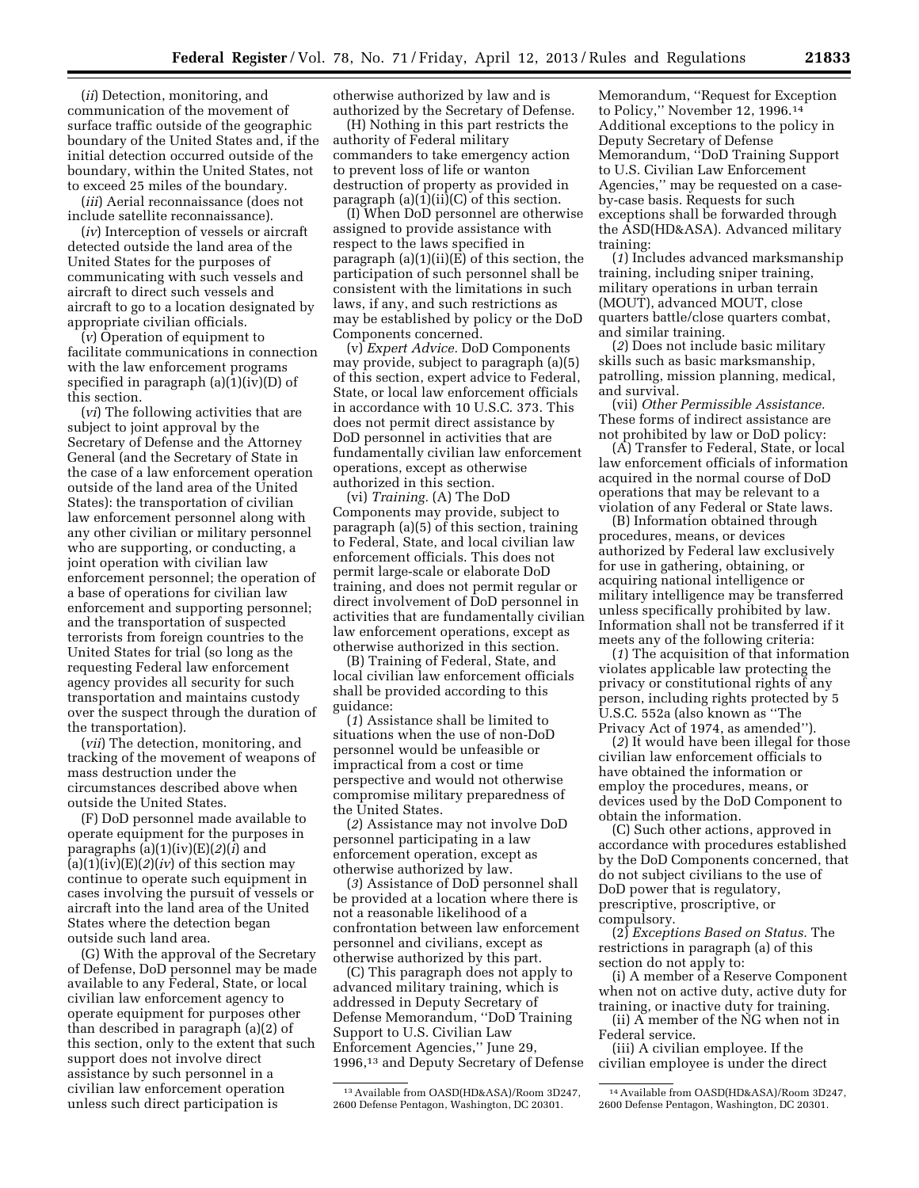(*ii*) Detection, monitoring, and communication of the movement of surface traffic outside of the geographic boundary of the United States and, if the initial detection occurred outside of the boundary, within the United States, not to exceed 25 miles of the boundary.

(*iii*) Aerial reconnaissance (does not include satellite reconnaissance).

(*iv*) Interception of vessels or aircraft detected outside the land area of the United States for the purposes of communicating with such vessels and aircraft to direct such vessels and aircraft to go to a location designated by appropriate civilian officials.

(*v*) Operation of equipment to facilitate communications in connection with the law enforcement programs specified in paragraph (a)(1)(iv)(D) of this section.

(*vi*) The following activities that are subject to joint approval by the Secretary of Defense and the Attorney General (and the Secretary of State in the case of a law enforcement operation outside of the land area of the United States): the transportation of civilian law enforcement personnel along with any other civilian or military personnel who are supporting, or conducting, a joint operation with civilian law enforcement personnel; the operation of a base of operations for civilian law enforcement and supporting personnel; and the transportation of suspected terrorists from foreign countries to the United States for trial (so long as the requesting Federal law enforcement agency provides all security for such transportation and maintains custody over the suspect through the duration of the transportation).

(*vii*) The detection, monitoring, and tracking of the movement of weapons of mass destruction under the circumstances described above when outside the United States.

(F) DoD personnel made available to operate equipment for the purposes in paragraphs (a)(1)(iv)(E)(*2*)(*i*) and  $(a)(1)(iv)(E)(2)(iv)$  of this section may continue to operate such equipment in cases involving the pursuit of vessels or aircraft into the land area of the United States where the detection began outside such land area.

(G) With the approval of the Secretary of Defense, DoD personnel may be made available to any Federal, State, or local civilian law enforcement agency to operate equipment for purposes other than described in paragraph (a)(2) of this section, only to the extent that such support does not involve direct assistance by such personnel in a civilian law enforcement operation unless such direct participation is

otherwise authorized by law and is authorized by the Secretary of Defense.

(H) Nothing in this part restricts the authority of Federal military commanders to take emergency action to prevent loss of life or wanton destruction of property as provided in paragraph  $(a)(1)(ii)(C)$  of this section.

(I) When DoD personnel are otherwise assigned to provide assistance with respect to the laws specified in paragraph (a)(1)(ii)(E) of this section, the participation of such personnel shall be consistent with the limitations in such laws, if any, and such restrictions as may be established by policy or the DoD Components concerned.

(v) *Expert Advice.* DoD Components may provide, subject to paragraph (a)(5) of this section, expert advice to Federal, State, or local law enforcement officials in accordance with 10 U.S.C. 373. This does not permit direct assistance by DoD personnel in activities that are fundamentally civilian law enforcement operations, except as otherwise authorized in this section.

(vi) *Training.* (A) The DoD Components may provide, subject to paragraph (a)(5) of this section, training to Federal, State, and local civilian law enforcement officials. This does not permit large-scale or elaborate DoD training, and does not permit regular or direct involvement of DoD personnel in activities that are fundamentally civilian law enforcement operations, except as otherwise authorized in this section.

(B) Training of Federal, State, and local civilian law enforcement officials shall be provided according to this guidance:

(*1*) Assistance shall be limited to situations when the use of non-DoD personnel would be unfeasible or impractical from a cost or time perspective and would not otherwise compromise military preparedness of the United States.

(*2*) Assistance may not involve DoD personnel participating in a law enforcement operation, except as otherwise authorized by law.

(*3*) Assistance of DoD personnel shall be provided at a location where there is not a reasonable likelihood of a confrontation between law enforcement personnel and civilians, except as otherwise authorized by this part.

(C) This paragraph does not apply to advanced military training, which is addressed in Deputy Secretary of Defense Memorandum, ''DoD Training Support to U.S. Civilian Law Enforcement Agencies,'' June 29, 1996,13 and Deputy Secretary of Defense Memorandum, ''Request for Exception to Policy,'' November 12, 1996.14 Additional exceptions to the policy in Deputy Secretary of Defense Memorandum, ''DoD Training Support to U.S. Civilian Law Enforcement Agencies,'' may be requested on a caseby-case basis. Requests for such exceptions shall be forwarded through the ASD(HD&ASA). Advanced military training:

(*1*) Includes advanced marksmanship training, including sniper training, military operations in urban terrain (MOUT), advanced MOUT, close quarters battle/close quarters combat, and similar training.

(*2*) Does not include basic military skills such as basic marksmanship, patrolling, mission planning, medical, and survival.

(vii) *Other Permissible Assistance.*  These forms of indirect assistance are not prohibited by law or DoD policy:

(A) Transfer to Federal, State, or local law enforcement officials of information acquired in the normal course of DoD operations that may be relevant to a violation of any Federal or State laws.

(B) Information obtained through procedures, means, or devices authorized by Federal law exclusively for use in gathering, obtaining, or acquiring national intelligence or military intelligence may be transferred unless specifically prohibited by law. Information shall not be transferred if it meets any of the following criteria:

(*1*) The acquisition of that information violates applicable law protecting the privacy or constitutional rights of any person, including rights protected by 5 U.S.C. 552a (also known as ''The Privacy Act of 1974, as amended'').

(*2*) It would have been illegal for those civilian law enforcement officials to have obtained the information or employ the procedures, means, or devices used by the DoD Component to obtain the information.

(C) Such other actions, approved in accordance with procedures established by the DoD Components concerned, that do not subject civilians to the use of DoD power that is regulatory, prescriptive, proscriptive, or compulsory.

(2) *Exceptions Based on Status.* The restrictions in paragraph (a) of this section do not apply to:

(i) A member of a Reserve Component when not on active duty, active duty for training, or inactive duty for training.

(ii) A member of the NG when not in Federal service.

(iii) A civilian employee. If the civilian employee is under the direct

<sup>13</sup>Available from OASD(HD&ASA)/Room 3D247, 2600 Defense Pentagon, Washington, DC 20301.

<sup>14</sup>Available from OASD(HD&ASA)/Room 3D247, 2600 Defense Pentagon, Washington, DC 20301.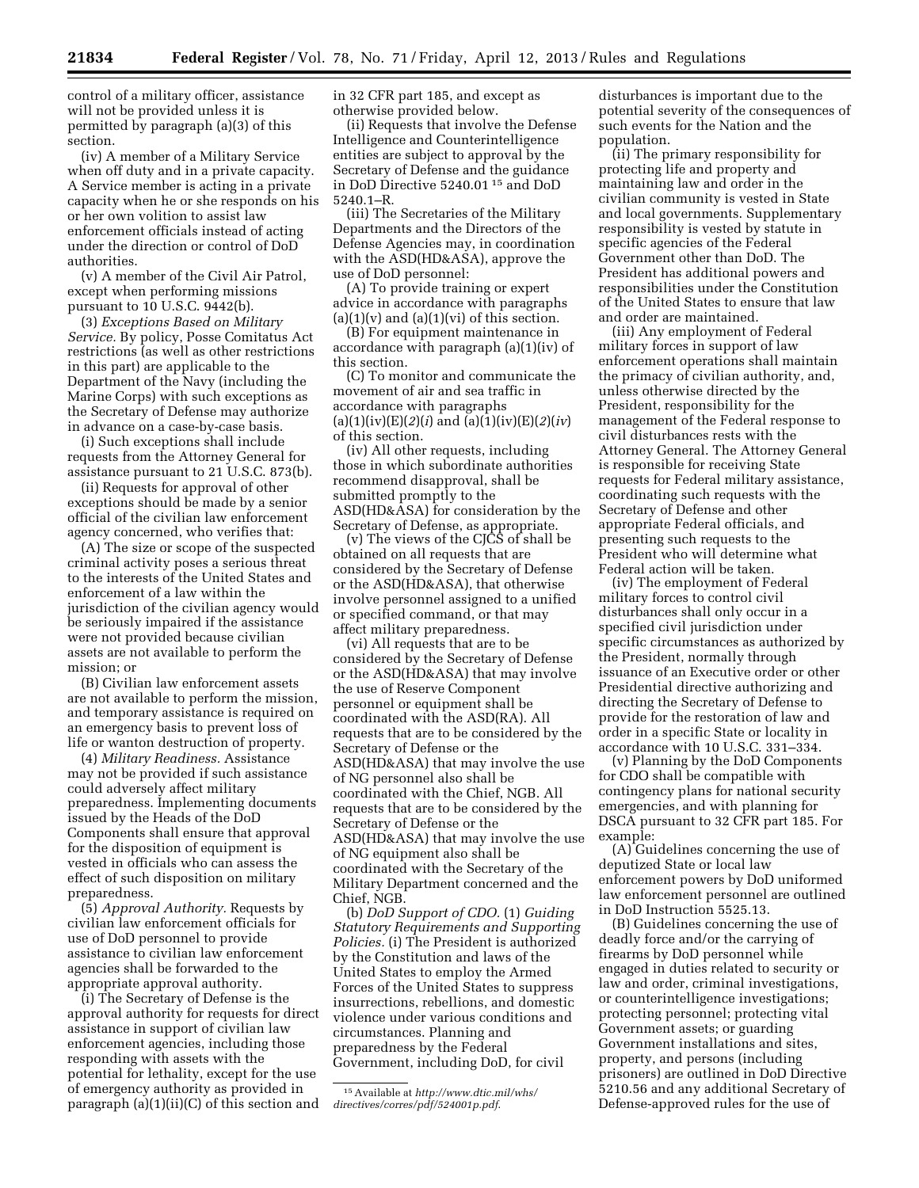control of a military officer, assistance will not be provided unless it is permitted by paragraph (a)(3) of this section.

(iv) A member of a Military Service when off duty and in a private capacity. A Service member is acting in a private capacity when he or she responds on his or her own volition to assist law enforcement officials instead of acting under the direction or control of DoD authorities.

(v) A member of the Civil Air Patrol, except when performing missions pursuant to 10 U.S.C. 9442(b).

(3) *Exceptions Based on Military Service.* By policy, Posse Comitatus Act restrictions (as well as other restrictions in this part) are applicable to the Department of the Navy (including the Marine Corps) with such exceptions as the Secretary of Defense may authorize in advance on a case-by-case basis.

(i) Such exceptions shall include requests from the Attorney General for assistance pursuant to 21 U.S.C. 873(b).

(ii) Requests for approval of other exceptions should be made by a senior official of the civilian law enforcement agency concerned, who verifies that:

(A) The size or scope of the suspected criminal activity poses a serious threat to the interests of the United States and enforcement of a law within the jurisdiction of the civilian agency would be seriously impaired if the assistance were not provided because civilian assets are not available to perform the mission; or

(B) Civilian law enforcement assets are not available to perform the mission, and temporary assistance is required on an emergency basis to prevent loss of life or wanton destruction of property.

(4) *Military Readiness.* Assistance may not be provided if such assistance could adversely affect military preparedness. Implementing documents issued by the Heads of the DoD Components shall ensure that approval for the disposition of equipment is vested in officials who can assess the effect of such disposition on military preparedness.

(5) *Approval Authority.* Requests by civilian law enforcement officials for use of DoD personnel to provide assistance to civilian law enforcement agencies shall be forwarded to the appropriate approval authority.

(i) The Secretary of Defense is the approval authority for requests for direct assistance in support of civilian law enforcement agencies, including those responding with assets with the potential for lethality, except for the use of emergency authority as provided in paragraph (a)(1)(ii)(C) of this section and in 32 CFR part 185, and except as otherwise provided below.

(ii) Requests that involve the Defense Intelligence and Counterintelligence entities are subject to approval by the Secretary of Defense and the guidance in DoD Directive 5240.01 15 and DoD 5240.1–R.

(iii) The Secretaries of the Military Departments and the Directors of the Defense Agencies may, in coordination with the ASD(HD&ASA), approve the use of DoD personnel:

(A) To provide training or expert advice in accordance with paragraphs  $(a)(1)(v)$  and  $(a)(1)(vi)$  of this section.

(B) For equipment maintenance in accordance with paragraph (a)(1)(iv) of this section.

(C) To monitor and communicate the movement of air and sea traffic in accordance with paragraphs (a)(1)(iv)(E)(2)(*i*) and (a)(1)(iv)(E)(2)(*iv*) of this section.

(iv) All other requests, including those in which subordinate authorities recommend disapproval, shall be submitted promptly to the ASD(HD&ASA) for consideration by the Secretary of Defense, as appropriate.

(v) The views of the CJCS of shall be obtained on all requests that are considered by the Secretary of Defense or the ASD(HD&ASA), that otherwise involve personnel assigned to a unified or specified command, or that may affect military preparedness.

(vi) All requests that are to be considered by the Secretary of Defense or the ASD(HD&ASA) that may involve the use of Reserve Component personnel or equipment shall be coordinated with the ASD(RA). All requests that are to be considered by the Secretary of Defense or the ASD(HD&ASA) that may involve the use of NG personnel also shall be coordinated with the Chief, NGB. All requests that are to be considered by the Secretary of Defense or the ASD(HD&ASA) that may involve the use of NG equipment also shall be coordinated with the Secretary of the Military Department concerned and the Chief, NGB.

(b) *DoD Support of CDO.* (1) *Guiding Statutory Requirements and Supporting Policies.* (i) The President is authorized by the Constitution and laws of the United States to employ the Armed Forces of the United States to suppress insurrections, rebellions, and domestic violence under various conditions and circumstances. Planning and preparedness by the Federal Government, including DoD, for civil

disturbances is important due to the potential severity of the consequences of such events for the Nation and the population.

(ii) The primary responsibility for protecting life and property and maintaining law and order in the civilian community is vested in State and local governments. Supplementary responsibility is vested by statute in specific agencies of the Federal Government other than DoD. The President has additional powers and responsibilities under the Constitution of the United States to ensure that law and order are maintained.

(iii) Any employment of Federal military forces in support of law enforcement operations shall maintain the primacy of civilian authority, and, unless otherwise directed by the President, responsibility for the management of the Federal response to civil disturbances rests with the Attorney General. The Attorney General is responsible for receiving State requests for Federal military assistance, coordinating such requests with the Secretary of Defense and other appropriate Federal officials, and presenting such requests to the President who will determine what Federal action will be taken.

(iv) The employment of Federal military forces to control civil disturbances shall only occur in a specified civil jurisdiction under specific circumstances as authorized by the President, normally through issuance of an Executive order or other Presidential directive authorizing and directing the Secretary of Defense to provide for the restoration of law and order in a specific State or locality in accordance with 10 U.S.C. 331–334.

(v) Planning by the DoD Components for CDO shall be compatible with contingency plans for national security emergencies, and with planning for DSCA pursuant to 32 CFR part 185. For example:

(A) Guidelines concerning the use of deputized State or local law enforcement powers by DoD uniformed law enforcement personnel are outlined in DoD Instruction 5525.13.

(B) Guidelines concerning the use of deadly force and/or the carrying of firearms by DoD personnel while engaged in duties related to security or law and order, criminal investigations, or counterintelligence investigations; protecting personnel; protecting vital Government assets; or guarding Government installations and sites, property, and persons (including prisoners) are outlined in DoD Directive 5210.56 and any additional Secretary of Defense-approved rules for the use of

<sup>15</sup>Available at *[http://www.dtic.mil/whs/](http://www.dtic.mil/whs/directives/corres/pdf/524001p.pdf) [directives/corres/pdf/524001p.pdf](http://www.dtic.mil/whs/directives/corres/pdf/524001p.pdf)*.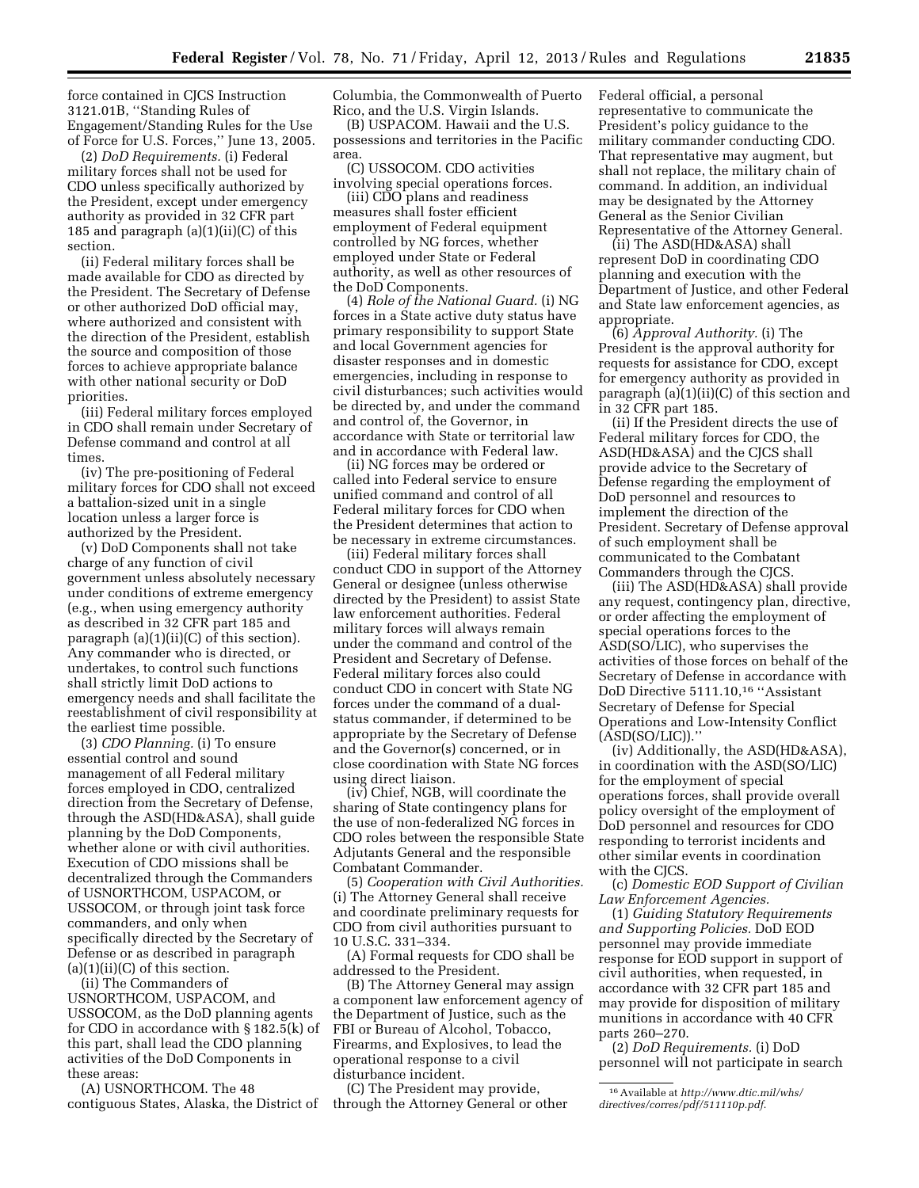force contained in CJCS Instruction 3121.01B, ''Standing Rules of Engagement/Standing Rules for the Use of Force for U.S. Forces,'' June 13, 2005.

(2) *DoD Requirements.* (i) Federal military forces shall not be used for CDO unless specifically authorized by the President, except under emergency authority as provided in 32 CFR part 185 and paragraph (a)(1)(ii)(C) of this section.

(ii) Federal military forces shall be made available for CDO as directed by the President. The Secretary of Defense or other authorized DoD official may, where authorized and consistent with the direction of the President, establish the source and composition of those forces to achieve appropriate balance with other national security or DoD priorities.

(iii) Federal military forces employed in CDO shall remain under Secretary of Defense command and control at all times.

(iv) The pre-positioning of Federal military forces for CDO shall not exceed a battalion-sized unit in a single location unless a larger force is authorized by the President.

(v) DoD Components shall not take charge of any function of civil government unless absolutely necessary under conditions of extreme emergency (e.g., when using emergency authority as described in 32 CFR part 185 and paragraph  $(a)(1)(ii)(C)$  of this section). Any commander who is directed, or undertakes, to control such functions shall strictly limit DoD actions to emergency needs and shall facilitate the reestablishment of civil responsibility at the earliest time possible.

(3) *CDO Planning.* (i) To ensure essential control and sound management of all Federal military forces employed in CDO, centralized direction from the Secretary of Defense, through the ASD(HD&ASA), shall guide planning by the DoD Components, whether alone or with civil authorities. Execution of CDO missions shall be decentralized through the Commanders of USNORTHCOM, USPACOM, or USSOCOM, or through joint task force commanders, and only when specifically directed by the Secretary of Defense or as described in paragraph  $(a)(1)(ii)(C)$  of this section.

(ii) The Commanders of USNORTHCOM, USPACOM, and USSOCOM, as the DoD planning agents for CDO in accordance with § 182.5(k) of this part, shall lead the CDO planning activities of the DoD Components in these areas:

(A) USNORTHCOM. The 48 contiguous States, Alaska, the District of Columbia, the Commonwealth of Puerto Rico, and the U.S. Virgin Islands.

(B) USPACOM. Hawaii and the U.S. possessions and territories in the Pacific area.

(C) USSOCOM. CDO activities involving special operations forces.

(iii) CDO plans and readiness measures shall foster efficient employment of Federal equipment controlled by NG forces, whether employed under State or Federal authority, as well as other resources of the DoD Components.

(4) *Role of the National Guard.* (i) NG forces in a State active duty status have primary responsibility to support State and local Government agencies for disaster responses and in domestic emergencies, including in response to civil disturbances; such activities would be directed by, and under the command and control of, the Governor, in accordance with State or territorial law and in accordance with Federal law.

(ii) NG forces may be ordered or called into Federal service to ensure unified command and control of all Federal military forces for CDO when the President determines that action to be necessary in extreme circumstances.

(iii) Federal military forces shall conduct CDO in support of the Attorney General or designee (unless otherwise directed by the President) to assist State law enforcement authorities. Federal military forces will always remain under the command and control of the President and Secretary of Defense. Federal military forces also could conduct CDO in concert with State NG forces under the command of a dualstatus commander, if determined to be appropriate by the Secretary of Defense and the Governor(s) concerned, or in close coordination with State NG forces using direct liaison.

(iv) Chief, NGB, will coordinate the sharing of State contingency plans for the use of non-federalized NG forces in CDO roles between the responsible State Adjutants General and the responsible Combatant Commander.

(5) *Cooperation with Civil Authorities.*  (i) The Attorney General shall receive and coordinate preliminary requests for CDO from civil authorities pursuant to 10 U.S.C. 331–334.

(A) Formal requests for CDO shall be addressed to the President.

(B) The Attorney General may assign a component law enforcement agency of the Department of Justice, such as the FBI or Bureau of Alcohol, Tobacco, Firearms, and Explosives, to lead the operational response to a civil disturbance incident.

(C) The President may provide, through the Attorney General or other Federal official, a personal representative to communicate the President's policy guidance to the military commander conducting CDO. That representative may augment, but shall not replace, the military chain of command. In addition, an individual may be designated by the Attorney General as the Senior Civilian Representative of the Attorney General.

(ii) The ASD(HD&ASA) shall represent DoD in coordinating CDO planning and execution with the Department of Justice, and other Federal and State law enforcement agencies, as appropriate.

(6) *Approval Authority.* (i) The President is the approval authority for requests for assistance for CDO, except for emergency authority as provided in paragraph (a)(1)(ii)(C) of this section and in 32 CFR part 185.

(ii) If the President directs the use of Federal military forces for CDO, the ASD(HD&ASA) and the CJCS shall provide advice to the Secretary of Defense regarding the employment of DoD personnel and resources to implement the direction of the President. Secretary of Defense approval of such employment shall be communicated to the Combatant Commanders through the CJCS.

(iii) The ASD(HD&ASA) shall provide any request, contingency plan, directive, or order affecting the employment of special operations forces to the ASD(SO/LIC), who supervises the activities of those forces on behalf of the Secretary of Defense in accordance with DoD Directive 5111.10,16 ''Assistant Secretary of Defense for Special Operations and Low-Intensity Conflict  $(ASD(SO/LIC)).$ 

(iv) Additionally, the ASD(HD&ASA), in coordination with the ASD(SO/LIC) for the employment of special operations forces, shall provide overall policy oversight of the employment of DoD personnel and resources for CDO responding to terrorist incidents and other similar events in coordination with the CJCS.

(c) *Domestic EOD Support of Civilian Law Enforcement Agencies.* 

(1) *Guiding Statutory Requirements and Supporting Policies.* DoD EOD personnel may provide immediate response for EOD support in support of civil authorities, when requested, in accordance with 32 CFR part 185 and may provide for disposition of military munitions in accordance with 40 CFR parts 260–270.

(2) *DoD Requirements.* (i) DoD personnel will not participate in search

<sup>16</sup>Available at *[http://www.dtic.mil/whs/](http://www.dtic.mil/whs/directives/corres/pdf/511110p.pdf) [directives/corres/pdf/511110p.pdf](http://www.dtic.mil/whs/directives/corres/pdf/511110p.pdf)*.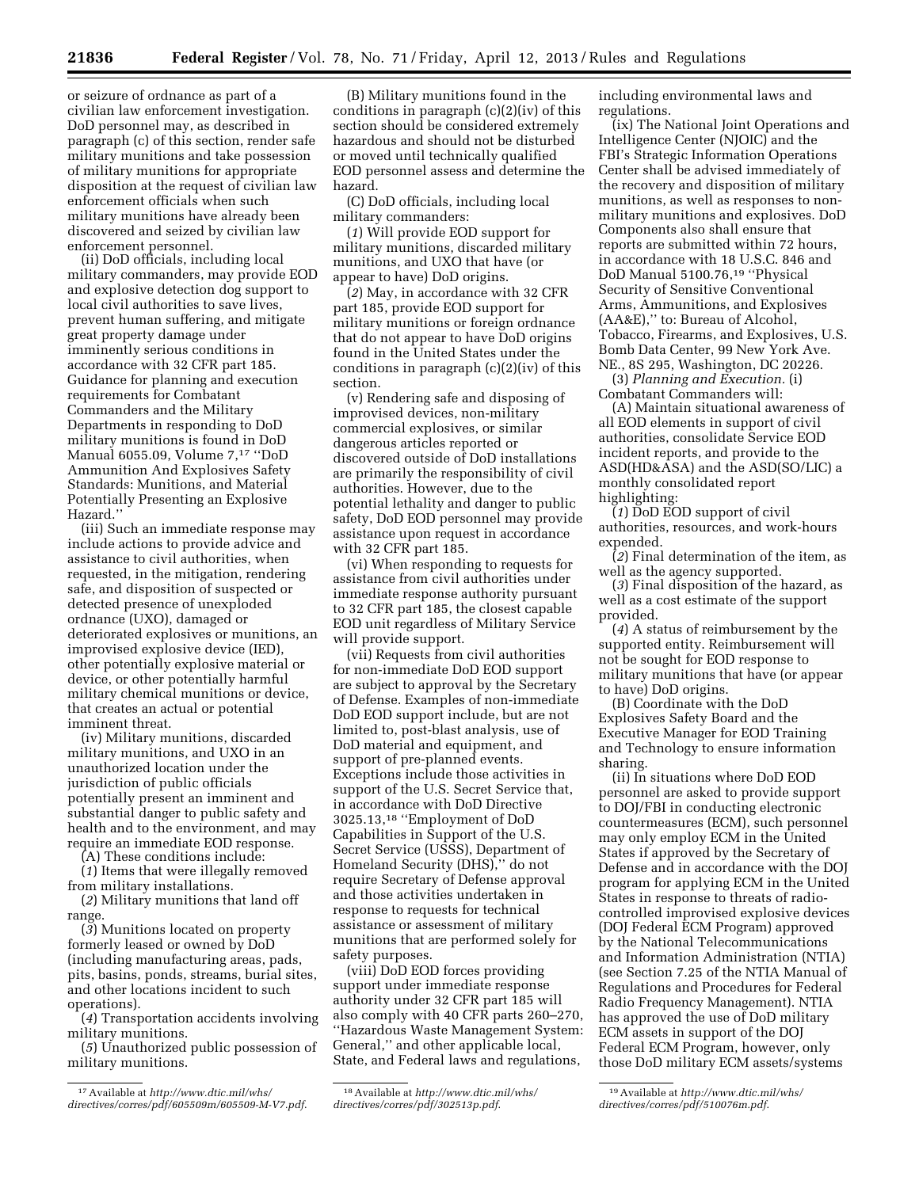or seizure of ordnance as part of a civilian law enforcement investigation. DoD personnel may, as described in paragraph (c) of this section, render safe military munitions and take possession of military munitions for appropriate disposition at the request of civilian law enforcement officials when such military munitions have already been discovered and seized by civilian law enforcement personnel.

(ii) DoD officials, including local military commanders, may provide EOD and explosive detection dog support to local civil authorities to save lives, prevent human suffering, and mitigate great property damage under imminently serious conditions in accordance with 32 CFR part 185. Guidance for planning and execution requirements for Combatant Commanders and the Military Departments in responding to DoD military munitions is found in DoD Manual 6055.09, Volume 7,17 ''DoD Ammunition And Explosives Safety Standards: Munitions, and Material Potentially Presenting an Explosive Hazard.''

(iii) Such an immediate response may include actions to provide advice and assistance to civil authorities, when requested, in the mitigation, rendering safe, and disposition of suspected or detected presence of unexploded ordnance (UXO), damaged or deteriorated explosives or munitions, an improvised explosive device (IED), other potentially explosive material or device, or other potentially harmful military chemical munitions or device, that creates an actual or potential imminent threat.

(iv) Military munitions, discarded military munitions, and UXO in an unauthorized location under the jurisdiction of public officials potentially present an imminent and substantial danger to public safety and health and to the environment, and may require an immediate EOD response.

(A) These conditions include:

(*1*) Items that were illegally removed from military installations.

(*2*) Military munitions that land off range.

(*3*) Munitions located on property formerly leased or owned by DoD (including manufacturing areas, pads, pits, basins, ponds, streams, burial sites, and other locations incident to such operations).

(*4*) Transportation accidents involving military munitions.

(*5*) Unauthorized public possession of military munitions.

(B) Military munitions found in the conditions in paragraph (c)(2)(iv) of this section should be considered extremely hazardous and should not be disturbed or moved until technically qualified EOD personnel assess and determine the hazard.

(C) DoD officials, including local military commanders:

(*1*) Will provide EOD support for military munitions, discarded military munitions, and UXO that have (or appear to have) DoD origins.

(*2*) May, in accordance with 32 CFR part 185, provide EOD support for military munitions or foreign ordnance that do not appear to have DoD origins found in the United States under the conditions in paragraph (c)(2)(iv) of this section.

(v) Rendering safe and disposing of improvised devices, non-military commercial explosives, or similar dangerous articles reported or discovered outside of DoD installations are primarily the responsibility of civil authorities. However, due to the potential lethality and danger to public safety, DoD EOD personnel may provide assistance upon request in accordance with 32 CFR part 185.

(vi) When responding to requests for assistance from civil authorities under immediate response authority pursuant to 32 CFR part 185, the closest capable EOD unit regardless of Military Service will provide support.

(vii) Requests from civil authorities for non-immediate DoD EOD support are subject to approval by the Secretary of Defense. Examples of non-immediate DoD EOD support include, but are not limited to, post-blast analysis, use of DoD material and equipment, and support of pre-planned events. Exceptions include those activities in support of the U.S. Secret Service that, in accordance with DoD Directive 3025.13,18 ''Employment of DoD Capabilities in Support of the U.S. Secret Service (USSS), Department of Homeland Security (DHS),'' do not require Secretary of Defense approval and those activities undertaken in response to requests for technical assistance or assessment of military munitions that are performed solely for safety purposes.

(viii) DoD EOD forces providing support under immediate response authority under 32 CFR part 185 will also comply with 40 CFR parts 260–270, ''Hazardous Waste Management System: General,'' and other applicable local, State, and Federal laws and regulations,

18Available at *[http://www.dtic.mil/whs/](http://www.dtic.mil/whs/directives/corres/pdf/302513p.pdf) [directives/corres/pdf/302513p.pdf](http://www.dtic.mil/whs/directives/corres/pdf/302513p.pdf)*.

including environmental laws and regulations.

(ix) The National Joint Operations and Intelligence Center (NJOIC) and the FBI's Strategic Information Operations Center shall be advised immediately of the recovery and disposition of military munitions, as well as responses to nonmilitary munitions and explosives. DoD Components also shall ensure that reports are submitted within 72 hours, in accordance with 18 U.S.C. 846 and DoD Manual 5100.76,19 ''Physical Security of Sensitive Conventional Arms, Ammunitions, and Explosives (AA&E),'' to: Bureau of Alcohol, Tobacco, Firearms, and Explosives, U.S. Bomb Data Center, 99 New York Ave. NE., 8S 295, Washington, DC 20226.

(3) *Planning and Execution.* (i) Combatant Commanders will:

(A) Maintain situational awareness of all EOD elements in support of civil authorities, consolidate Service EOD incident reports, and provide to the ASD(HD&ASA) and the ASD(SO/LIC) a monthly consolidated report highlighting:

 $(1)$  DoD EOD support of civil authorities, resources, and work-hours expended.

(*2*) Final determination of the item, as well as the agency supported.

(*3*) Final disposition of the hazard, as well as a cost estimate of the support provided.

(*4*) A status of reimbursement by the supported entity. Reimbursement will not be sought for EOD response to military munitions that have (or appear to have) DoD origins.

(B) Coordinate with the DoD Explosives Safety Board and the Executive Manager for EOD Training and Technology to ensure information sharing.

(ii) In situations where DoD EOD personnel are asked to provide support to DOJ/FBI in conducting electronic countermeasures (ECM), such personnel may only employ ECM in the United States if approved by the Secretary of Defense and in accordance with the DOJ program for applying ECM in the United States in response to threats of radiocontrolled improvised explosive devices (DOJ Federal ECM Program) approved by the National Telecommunications and Information Administration (NTIA) (see Section 7.25 of the NTIA Manual of Regulations and Procedures for Federal Radio Frequency Management). NTIA has approved the use of DoD military ECM assets in support of the DOJ Federal ECM Program, however, only those DoD military ECM assets/systems

<sup>17</sup>Available at *[http://www.dtic.mil/whs/](http://www.dtic.mil/whs/directives/corres/pdf/605509m/605509-M-V7.pdf) [directives/corres/pdf/605509m/605509-M-V7.pdf](http://www.dtic.mil/whs/directives/corres/pdf/605509m/605509-M-V7.pdf)*.

<sup>19</sup>Available at *[http://www.dtic.mil/whs/](http://www.dtic.mil/whs/directives/corres/pdf/510076m.pdf) [directives/corres/pdf/510076m.pdf](http://www.dtic.mil/whs/directives/corres/pdf/510076m.pdf)*.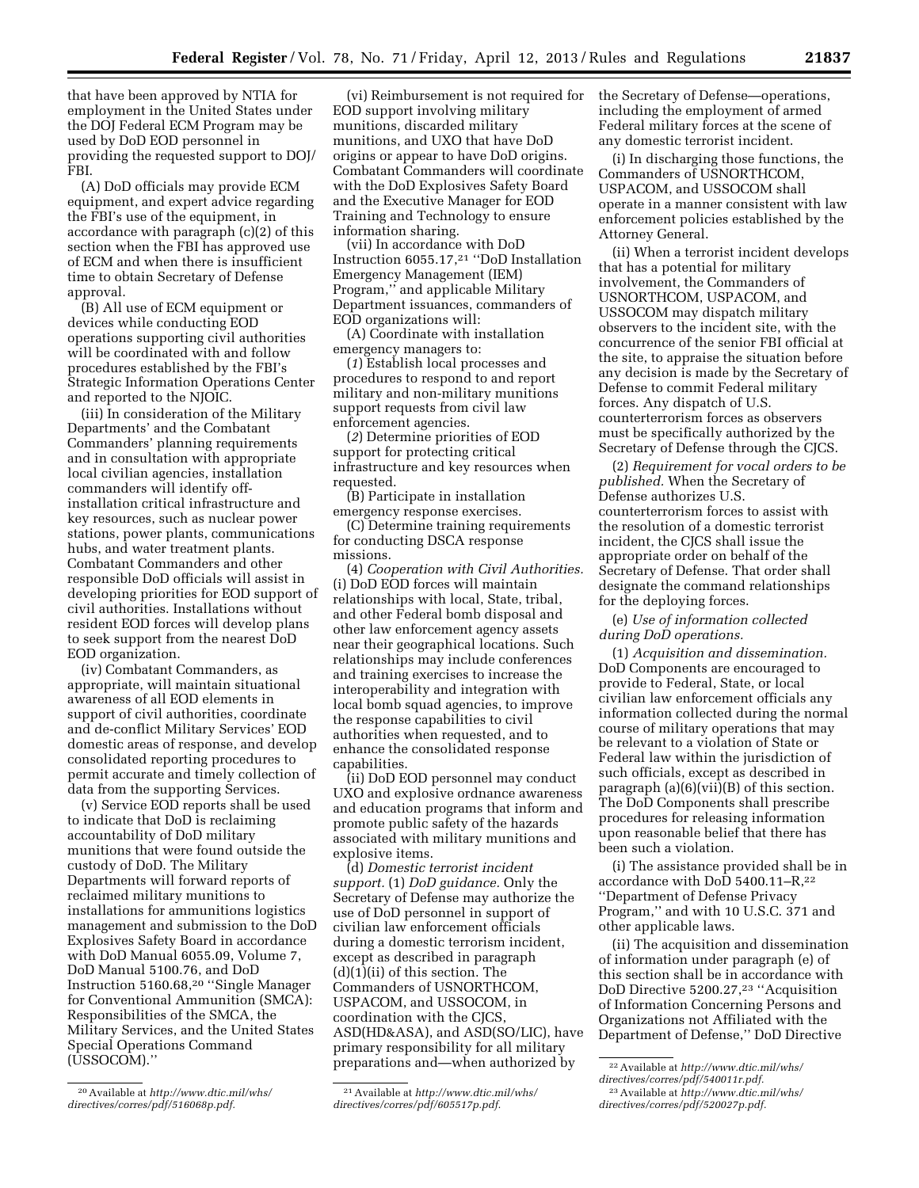that have been approved by NTIA for employment in the United States under the DOJ Federal ECM Program may be used by DoD EOD personnel in providing the requested support to DOJ/ FBI.

(A) DoD officials may provide ECM equipment, and expert advice regarding the FBI's use of the equipment, in accordance with paragraph (c)(2) of this section when the FBI has approved use of ECM and when there is insufficient time to obtain Secretary of Defense approval.

(B) All use of ECM equipment or devices while conducting EOD operations supporting civil authorities will be coordinated with and follow procedures established by the FBI's Strategic Information Operations Center and reported to the NJOIC.

(iii) In consideration of the Military Departments' and the Combatant Commanders' planning requirements and in consultation with appropriate local civilian agencies, installation commanders will identify offinstallation critical infrastructure and key resources, such as nuclear power stations, power plants, communications hubs, and water treatment plants. Combatant Commanders and other responsible DoD officials will assist in developing priorities for EOD support of civil authorities. Installations without resident EOD forces will develop plans to seek support from the nearest DoD EOD organization.

(iv) Combatant Commanders, as appropriate, will maintain situational awareness of all EOD elements in support of civil authorities, coordinate and de-conflict Military Services' EOD domestic areas of response, and develop consolidated reporting procedures to permit accurate and timely collection of data from the supporting Services.

(v) Service EOD reports shall be used to indicate that DoD is reclaiming accountability of DoD military munitions that were found outside the custody of DoD. The Military Departments will forward reports of reclaimed military munitions to installations for ammunitions logistics management and submission to the DoD Explosives Safety Board in accordance with DoD Manual 6055.09, Volume 7, DoD Manual 5100.76, and DoD Instruction 5160.68,20 ''Single Manager for Conventional Ammunition (SMCA): Responsibilities of the SMCA, the Military Services, and the United States Special Operations Command (USSOCOM).''

(vi) Reimbursement is not required for EOD support involving military munitions, discarded military munitions, and UXO that have DoD origins or appear to have DoD origins. Combatant Commanders will coordinate with the DoD Explosives Safety Board and the Executive Manager for EOD Training and Technology to ensure information sharing.

(vii) In accordance with DoD Instruction 6055.17,21 ''DoD Installation Emergency Management (IEM) Program,'' and applicable Military Department issuances, commanders of EOD organizations will:

(A) Coordinate with installation emergency managers to:

(*1*) Establish local processes and procedures to respond to and report military and non-military munitions support requests from civil law enforcement agencies.

(*2*) Determine priorities of EOD support for protecting critical infrastructure and key resources when requested.

(B) Participate in installation emergency response exercises.

(C) Determine training requirements for conducting DSCA response missions.

(4) *Cooperation with Civil Authorities.*  (i) DoD EOD forces will maintain relationships with local, State, tribal, and other Federal bomb disposal and other law enforcement agency assets near their geographical locations. Such relationships may include conferences and training exercises to increase the interoperability and integration with local bomb squad agencies, to improve the response capabilities to civil authorities when requested, and to enhance the consolidated response capabilities.

(ii) DoD EOD personnel may conduct UXO and explosive ordnance awareness and education programs that inform and promote public safety of the hazards associated with military munitions and explosive items.

(d) *Domestic terrorist incident support.* (1) *DoD guidance.* Only the Secretary of Defense may authorize the use of DoD personnel in support of civilian law enforcement officials during a domestic terrorism incident, except as described in paragraph (d)(1)(ii) of this section. The Commanders of USNORTHCOM, USPACOM, and USSOCOM, in coordination with the CJCS, ASD(HD&ASA), and ASD(SO/LIC), have primary responsibility for all military preparations and—when authorized by

the Secretary of Defense—operations, including the employment of armed Federal military forces at the scene of any domestic terrorist incident.

(i) In discharging those functions, the Commanders of USNORTHCOM, USPACOM, and USSOCOM shall operate in a manner consistent with law enforcement policies established by the Attorney General.

(ii) When a terrorist incident develops that has a potential for military involvement, the Commanders of USNORTHCOM, USPACOM, and USSOCOM may dispatch military observers to the incident site, with the concurrence of the senior FBI official at the site, to appraise the situation before any decision is made by the Secretary of Defense to commit Federal military forces. Any dispatch of U.S. counterterrorism forces as observers must be specifically authorized by the Secretary of Defense through the CJCS.

(2) *Requirement for vocal orders to be published.* When the Secretary of Defense authorizes U.S. counterterrorism forces to assist with the resolution of a domestic terrorist incident, the CJCS shall issue the appropriate order on behalf of the Secretary of Defense. That order shall designate the command relationships for the deploying forces.

(e) *Use of information collected during DoD operations.* 

(1) *Acquisition and dissemination.*  DoD Components are encouraged to provide to Federal, State, or local civilian law enforcement officials any information collected during the normal course of military operations that may be relevant to a violation of State or Federal law within the jurisdiction of such officials, except as described in paragraph (a)(6)(vii)(B) of this section. The DoD Components shall prescribe procedures for releasing information upon reasonable belief that there has been such a violation.

(i) The assistance provided shall be in accordance with DoD 5400.11–R,22 ''Department of Defense Privacy Program,'' and with 10 U.S.C. 371 and other applicable laws.

(ii) The acquisition and dissemination of information under paragraph (e) of this section shall be in accordance with DoD Directive 5200.27,23 ''Acquisition of Information Concerning Persons and Organizations not Affiliated with the Department of Defense,'' DoD Directive

<sup>20</sup>Available at *[http://www.dtic.mil/whs/](http://www.dtic.mil/whs/directives/corres/pdf/516068p.pdf) [directives/corres/pdf/516068p.pdf.](http://www.dtic.mil/whs/directives/corres/pdf/516068p.pdf)* 

<sup>21</sup>Available at *[http://www.dtic.mil/whs/](http://www.dtic.mil/whs/directives/corres/pdf/605517p.pdf) [directives/corres/pdf/605517p.pdf.](http://www.dtic.mil/whs/directives/corres/pdf/605517p.pdf)* 

<sup>22</sup>Available at *[http://www.dtic.mil/whs/](http://www.dtic.mil/whs/directives/corres/pdf/540011r.pdf)* 

*[directives/corres/pdf/540011r.pdf.](http://www.dtic.mil/whs/directives/corres/pdf/540011r.pdf)* 

<sup>23</sup>Available at *[http://www.dtic.mil/whs/](http://www.dtic.mil/whs/directives/corres/pdf/520027p.pdf) [directives/corres/pdf/520027p.pdf.](http://www.dtic.mil/whs/directives/corres/pdf/520027p.pdf)*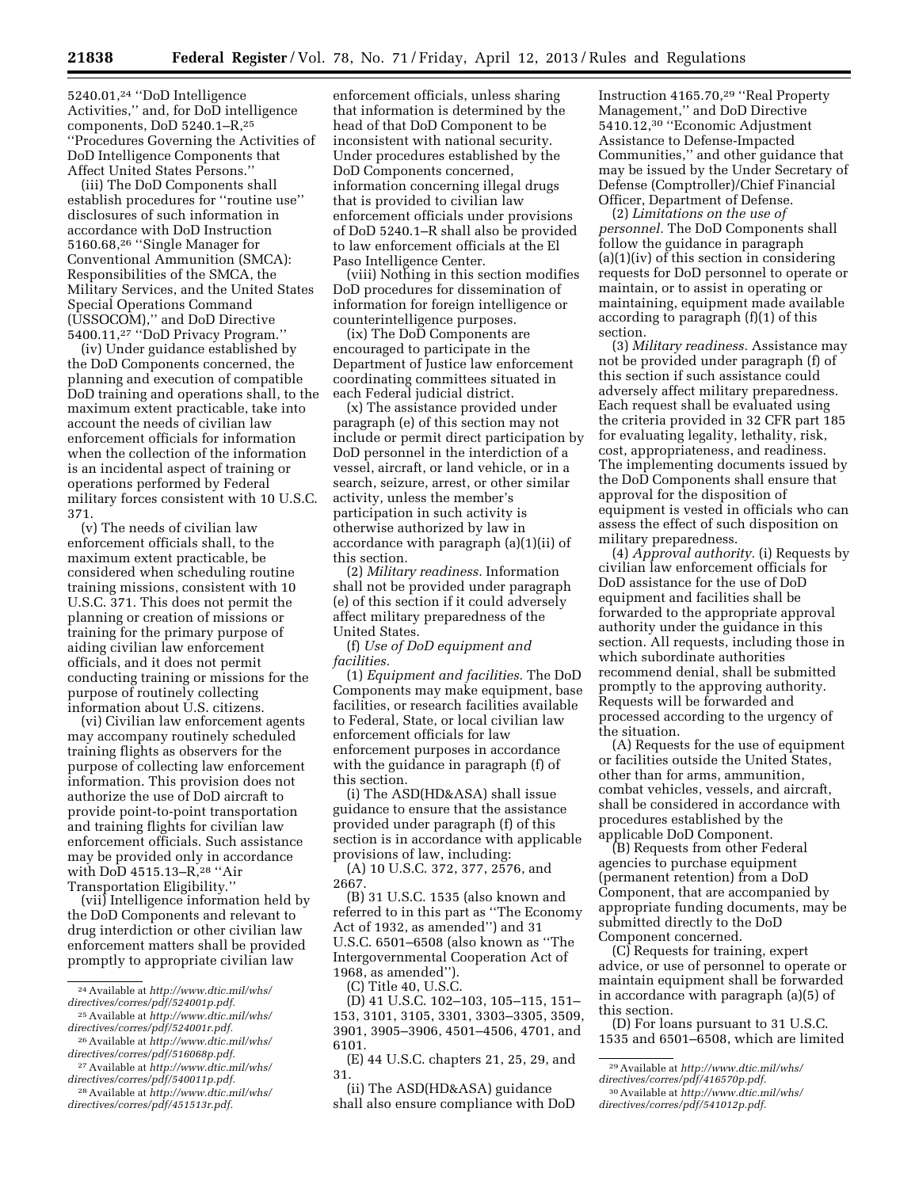5240.01,24 ''DoD Intelligence Activities,'' and, for DoD intelligence components, DoD 5240.1–R,25 ''Procedures Governing the Activities of DoD Intelligence Components that Affect United States Persons.''

(iii) The DoD Components shall establish procedures for ''routine use'' disclosures of such information in accordance with DoD Instruction 5160.68,26 ''Single Manager for Conventional Ammunition (SMCA): Responsibilities of the SMCA, the Military Services, and the United States Special Operations Command (USSOCOM),'' and DoD Directive 5400.11,27 ''DoD Privacy Program.''

(iv) Under guidance established by the DoD Components concerned, the planning and execution of compatible DoD training and operations shall, to the maximum extent practicable, take into account the needs of civilian law enforcement officials for information when the collection of the information is an incidental aspect of training or operations performed by Federal military forces consistent with 10 U.S.C. 371.

(v) The needs of civilian law enforcement officials shall, to the maximum extent practicable, be considered when scheduling routine training missions, consistent with 10 U.S.C. 371. This does not permit the planning or creation of missions or training for the primary purpose of aiding civilian law enforcement officials, and it does not permit conducting training or missions for the purpose of routinely collecting information about U.S. citizens.

(vi) Civilian law enforcement agents may accompany routinely scheduled training flights as observers for the purpose of collecting law enforcement information. This provision does not authorize the use of DoD aircraft to provide point-to-point transportation and training flights for civilian law enforcement officials. Such assistance may be provided only in accordance with DoD 4515.13–R,28 ''Air Transportation Eligibility.''

(vii) Intelligence information held by the DoD Components and relevant to drug interdiction or other civilian law enforcement matters shall be provided promptly to appropriate civilian law

enforcement officials, unless sharing that information is determined by the head of that DoD Component to be inconsistent with national security. Under procedures established by the DoD Components concerned, information concerning illegal drugs that is provided to civilian law enforcement officials under provisions of DoD 5240.1–R shall also be provided to law enforcement officials at the El Paso Intelligence Center.

(viii) Nothing in this section modifies DoD procedures for dissemination of information for foreign intelligence or counterintelligence purposes.

(ix) The DoD Components are encouraged to participate in the Department of Justice law enforcement coordinating committees situated in each Federal judicial district.

(x) The assistance provided under paragraph (e) of this section may not include or permit direct participation by DoD personnel in the interdiction of a vessel, aircraft, or land vehicle, or in a search, seizure, arrest, or other similar activity, unless the member's participation in such activity is otherwise authorized by law in accordance with paragraph (a)(1)(ii) of this section.

(2) *Military readiness.* Information shall not be provided under paragraph (e) of this section if it could adversely affect military preparedness of the United States.

(f) *Use of DoD equipment and facilities.* 

(1) *Equipment and facilities.* The DoD Components may make equipment, base facilities, or research facilities available to Federal, State, or local civilian law enforcement officials for law enforcement purposes in accordance with the guidance in paragraph (f) of this section.

(i) The ASD(HD&ASA) shall issue guidance to ensure that the assistance provided under paragraph (f) of this section is in accordance with applicable provisions of law, including:

(A) 10 U.S.C. 372, 377, 2576, and 2667.

(B) 31 U.S.C. 1535 (also known and referred to in this part as ''The Economy Act of 1932, as amended'') and 31 U.S.C. 6501–6508 (also known as ''The Intergovernmental Cooperation Act of 1968, as amended'').

(D) 41 U.S.C. 102–103, 105–115, 151– 153, 3101, 3105, 3301, 3303–3305, 3509, 3901, 3905–3906, 4501–4506, 4701, and 6101.

(E) 44 U.S.C. chapters 21, 25, 29, and 31.

(ii) The ASD(HD&ASA) guidance shall also ensure compliance with DoD Instruction 4165.70,29 ''Real Property Management,'' and DoD Directive 5410.12,30 ''Economic Adjustment Assistance to Defense-Impacted Communities,'' and other guidance that may be issued by the Under Secretary of Defense (Comptroller)/Chief Financial Officer, Department of Defense.

(2) *Limitations on the use of personnel.* The DoD Components shall follow the guidance in paragraph  $(a)(1)(iv)$  of this section in considering requests for DoD personnel to operate or maintain, or to assist in operating or maintaining, equipment made available according to paragraph (f)(1) of this section.

(3) *Military readiness.* Assistance may not be provided under paragraph (f) of this section if such assistance could adversely affect military preparedness. Each request shall be evaluated using the criteria provided in 32 CFR part 185 for evaluating legality, lethality, risk, cost, appropriateness, and readiness. The implementing documents issued by the DoD Components shall ensure that approval for the disposition of equipment is vested in officials who can assess the effect of such disposition on military preparedness.

(4) *Approval authority.* (i) Requests by civilian law enforcement officials for DoD assistance for the use of DoD equipment and facilities shall be forwarded to the appropriate approval authority under the guidance in this section. All requests, including those in which subordinate authorities recommend denial, shall be submitted promptly to the approving authority. Requests will be forwarded and processed according to the urgency of the situation.

(A) Requests for the use of equipment or facilities outside the United States, other than for arms, ammunition, combat vehicles, vessels, and aircraft, shall be considered in accordance with procedures established by the applicable DoD Component.

(B) Requests from other Federal agencies to purchase equipment (permanent retention) from a DoD Component, that are accompanied by appropriate funding documents, may be submitted directly to the DoD Component concerned.

(C) Requests for training, expert advice, or use of personnel to operate or maintain equipment shall be forwarded in accordance with paragraph (a)(5) of this section.

(D) For loans pursuant to 31 U.S.C. 1535 and 6501–6508, which are limited

<sup>24</sup>Available at *[http://www.dtic.mil/whs/](http://www.dtic.mil/whs/directives/corres/pdf/524001p.pdf) [directives/corres/pdf/524001p.pdf.](http://www.dtic.mil/whs/directives/corres/pdf/524001p.pdf)* 

<sup>25</sup>Available at *[http://www.dtic.mil/whs/](http://www.dtic.mil/whs/directives/corres/pdf/524001r.pdf) [directives/corres/pdf/524001r.pdf.](http://www.dtic.mil/whs/directives/corres/pdf/524001r.pdf)* 

<sup>26</sup>Available at *[http://www.dtic.mil/whs/](http://www.dtic.mil/whs/directives/corres/pdf/516068p.pdf) [directives/corres/pdf/516068p.pdf.](http://www.dtic.mil/whs/directives/corres/pdf/516068p.pdf)* 

<sup>27</sup>Available at *[http://www.dtic.mil/whs/](http://www.dtic.mil/whs/directives/corres/pdf/540011p.pdf) [directives/corres/pdf/540011p.pdf.](http://www.dtic.mil/whs/directives/corres/pdf/540011p.pdf)* 

<sup>28</sup>Available at *[http://www.dtic.mil/whs/](http://www.dtic.mil/whs/directives/corres/pdf/451513r.pdf) [directives/corres/pdf/451513r.pdf.](http://www.dtic.mil/whs/directives/corres/pdf/451513r.pdf)* 

<sup>(</sup>C) Title 40, U.S.C.

<sup>29</sup>Available at *[http://www.dtic.mil/whs/](http://www.dtic.mil/whs/directives/corres/pdf/416570p.pdf)* 

*[directives/corres/pdf/416570p.pdf.](http://www.dtic.mil/whs/directives/corres/pdf/416570p.pdf)* 30Available at *[http://www.dtic.mil/whs/](http://www.dtic.mil/whs/directives/corres/pdf/541012p.pdf)* 

*[directives/corres/pdf/541012p.pdf.](http://www.dtic.mil/whs/directives/corres/pdf/541012p.pdf)*